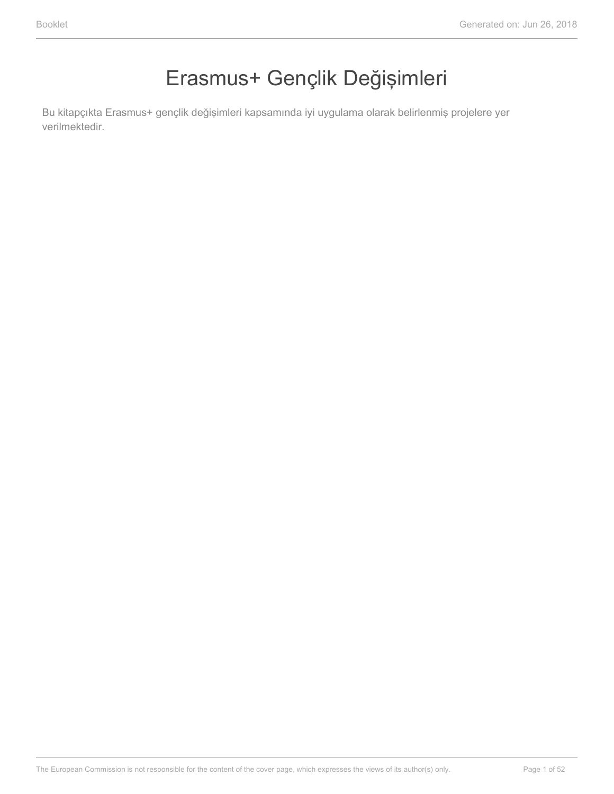### Erasmus+ Gençlik Değişimleri

Bu kitapçıkta Erasmus+ gençlik değişimleri kapsamında iyi uygulama olarak belirlenmiş projelere yer verilmektedir.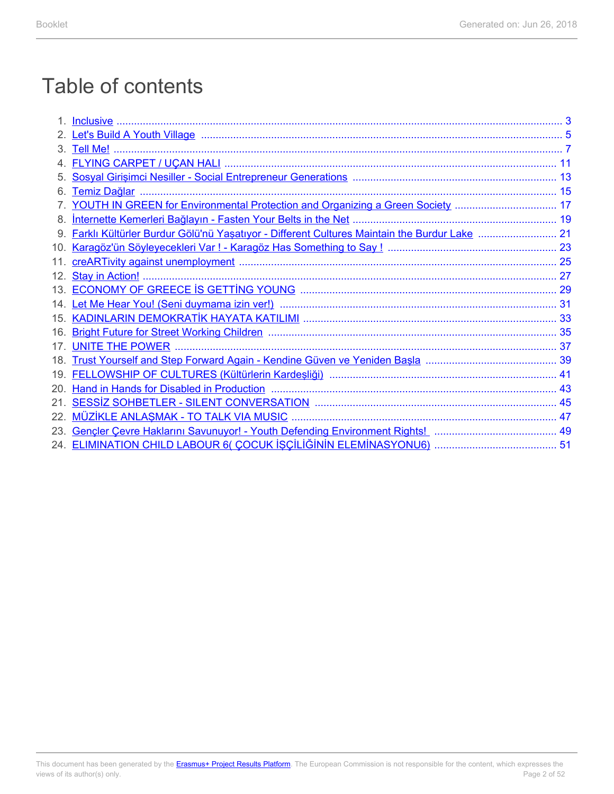### Table of contents

|                 | Let's Build A Youth Village Manusconstruction and the Care of State Manusconstruction and the Suid-A Youth Village |  |
|-----------------|--------------------------------------------------------------------------------------------------------------------|--|
| З.              |                                                                                                                    |  |
|                 |                                                                                                                    |  |
|                 |                                                                                                                    |  |
| 6.              |                                                                                                                    |  |
|                 | YOUTH IN GREEN for Environmental Protection and Organizing a Green Society  17                                     |  |
| 8.              | <u>Internette Kemerleri Bağlayın - Fasten Your Belts in the Net manum musulmusu musulmusu neriten 19</u>           |  |
|                 | Farklı Kültürler Burdur Gölü'nü Yaşatıyor - Different Cultures Maintain the Burdur Lake  21                        |  |
| 10.             |                                                                                                                    |  |
| 11.             |                                                                                                                    |  |
| 12.             |                                                                                                                    |  |
|                 |                                                                                                                    |  |
|                 |                                                                                                                    |  |
|                 |                                                                                                                    |  |
| 16.             |                                                                                                                    |  |
|                 |                                                                                                                    |  |
| 18.             |                                                                                                                    |  |
| 19 <sub>1</sub> |                                                                                                                    |  |
| 20.             |                                                                                                                    |  |
| 21.             |                                                                                                                    |  |
| 22.             |                                                                                                                    |  |
| 23.             |                                                                                                                    |  |
|                 |                                                                                                                    |  |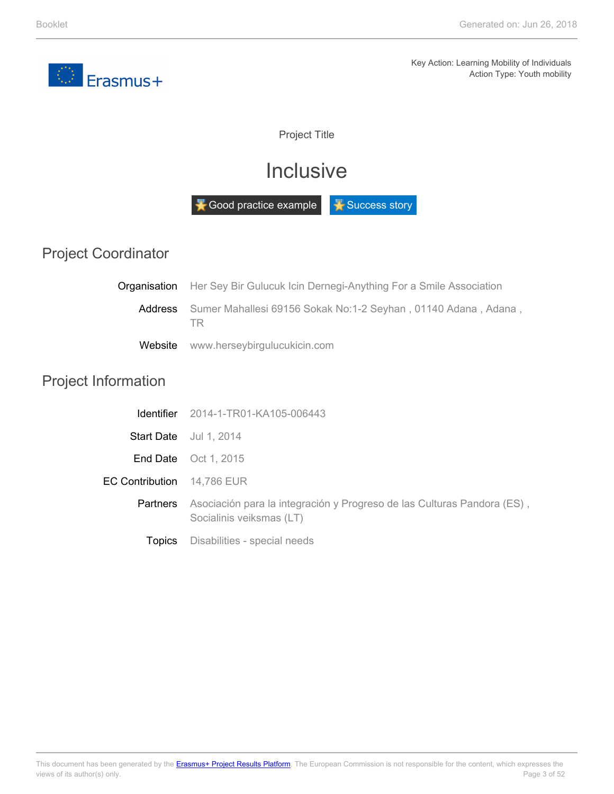<span id="page-2-0"></span>

Project Title

### **Inclusive**

Good practice example **F** Success story

|  | <b>Project Coordinator</b> |
|--|----------------------------|
|--|----------------------------|

| <b>Organisation</b> Her Sey Bir Gulucuk Icin Dernegi-Anything For a Smile Association |  |
|---------------------------------------------------------------------------------------|--|
| Address Sumer Mahallesi 69156 Sokak No:1-2 Seyhan, 01140 Adana, Adana,<br>ΙR          |  |
| Website www.herseybirgulucukicin.com                                                  |  |

### Project Information

|                                   | <b>Identifier</b> 2014-1-TR01-KA105-006443                                                          |
|-----------------------------------|-----------------------------------------------------------------------------------------------------|
|                                   | <b>Start Date</b> Jul 1, 2014                                                                       |
|                                   | <b>End Date</b> Oct 1, 2015                                                                         |
| <b>EC Contribution</b> 14.786 EUR |                                                                                                     |
| <b>Partners</b>                   | Asociación para la integración y Progreso de las Culturas Pandora (ES),<br>Socialinis veiksmas (LT) |
| <b>Lopics</b>                     | Disabilities - special needs                                                                        |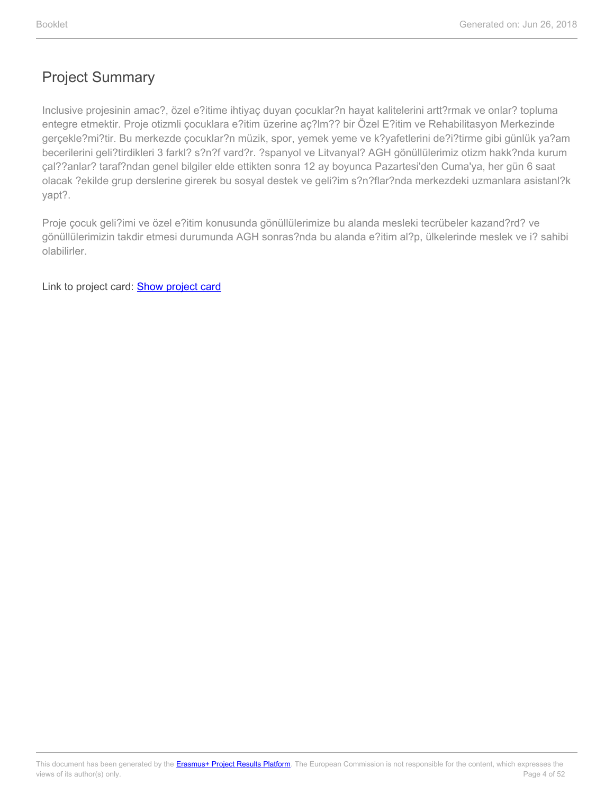Inclusive projesinin amac?, özel e?itime ihtiyaç duyan çocuklar?n hayat kalitelerini artt?rmak ve onlar? topluma entegre etmektir. Proje otizmli çocuklara e?itim üzerine aç?lm?? bir Özel E?itim ve Rehabilitasyon Merkezinde gerçekle?mi?tir. Bu merkezde çocuklar?n müzik, spor, yemek yeme ve k?yafetlerini de?i?tirme gibi günlük ya?am becerilerini geli?tirdikleri 3 farkl? s?n?f vard?r. ?spanyol ve Litvanyal? AGH gönüllülerimiz otizm hakk?nda kurum çal??anlar? taraf?ndan genel bilgiler elde ettikten sonra 12 ay boyunca Pazartesi'den Cuma'ya, her gün 6 saat olacak ?ekilde grup derslerine girerek bu sosyal destek ve geli?im s?n?flar?nda merkezdeki uzmanlara asistanl?k yapt?.

Proje çocuk geli?imi ve özel e?itim konusunda gönüllülerimize bu alanda mesleki tecrübeler kazand?rd? ve gönüllülerimizin takdir etmesi durumunda AGH sonras?nda bu alanda e?itim al?p, ülkelerinde meslek ve i? sahibi olabilirler.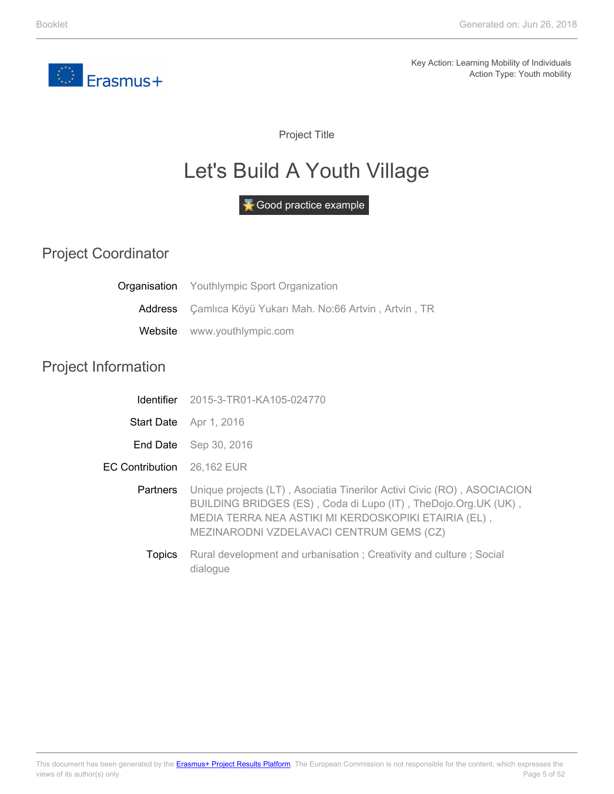<span id="page-4-0"></span>

Project Title

## Let's Build A Youth Village

Good practice example

Project Coordinator

|                            | <b>Organisation</b> Youthlympic Sport Organization                                                                                                                                                                                                            |
|----------------------------|---------------------------------------------------------------------------------------------------------------------------------------------------------------------------------------------------------------------------------------------------------------|
| Address                    | Çamlıca Köyü Yukarı Mah. No:66 Artvin, Artvin, TR                                                                                                                                                                                                             |
| Website                    | www.youthlympic.com                                                                                                                                                                                                                                           |
| <b>Project Information</b> |                                                                                                                                                                                                                                                               |
| Identifier                 | 2015-3-TR01-KA105-024770                                                                                                                                                                                                                                      |
|                            | Start Date Apr 1, 2016                                                                                                                                                                                                                                        |
|                            | End Date Sep 30, 2016                                                                                                                                                                                                                                         |
| <b>EC Contribution</b>     | 26,162 EUR                                                                                                                                                                                                                                                    |
|                            | <b>Partners</b> Unique projects (LT), Asociatia Tinerilor Activi Civic (RO), ASOCIACION<br>BUILDING BRIDGES (ES), Coda di Lupo (IT), TheDojo.Org.UK (UK),<br>MEDIA TERRA NEA ASTIKI MI KERDOSKOPIKI ETAIRIA (EL),<br>MEZINARODNI VZDELAVACI CENTRUM GEMS (CZ) |
| <b>Topics</b>              | Rural development and urbanisation; Creativity and culture; Social<br>dialogue                                                                                                                                                                                |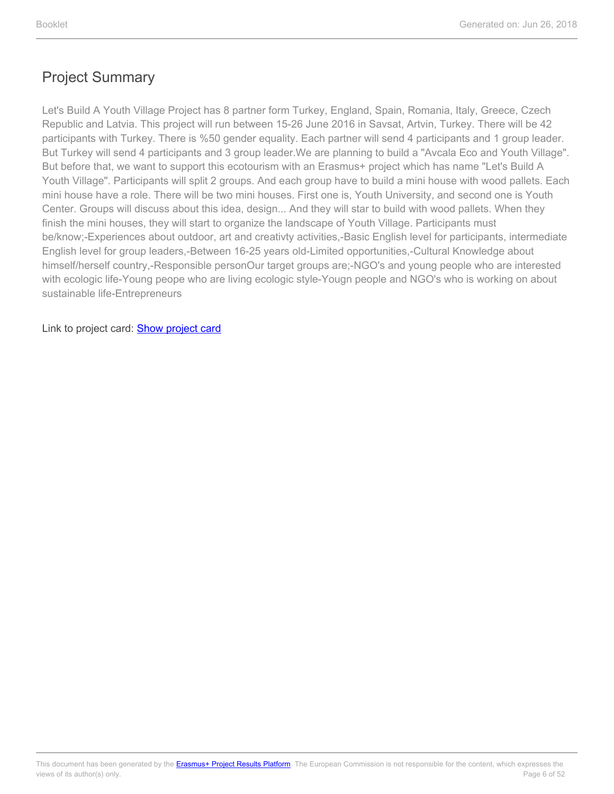Let's Build A Youth Village Project has 8 partner form Turkey, England, Spain, Romania, Italy, Greece, Czech Republic and Latvia. This project will run between 15-26 June 2016 in Savsat, Artvin, Turkey. There will be 42 participants with Turkey. There is %50 gender equality. Each partner will send 4 participants and 1 group leader. But Turkey will send 4 participants and 3 group leader.We are planning to build a "Avcala Eco and Youth Village". But before that, we want to support this ecotourism with an Erasmus+ project which has name "Let's Build A Youth Village". Participants will split 2 groups. And each group have to build a mini house with wood pallets. Each mini house have a role. There will be two mini houses. First one is, Youth University, and second one is Youth Center. Groups will discuss about this idea, design... And they will star to build with wood pallets. When they finish the mini houses, they will start to organize the landscape of Youth Village. Participants must be/know;-Experiences about outdoor, art and creativty activities,-Basic English level for participants, intermediate English level for group leaders,-Between 16-25 years old-Limited opportunities,-Cultural Knowledge about himself/herself country,-Responsible personOur target groups are;-NGO's and young people who are interested with ecologic life-Young peope who are living ecologic style-Yougn people and NGO's who is working on about sustainable life-Entrepreneurs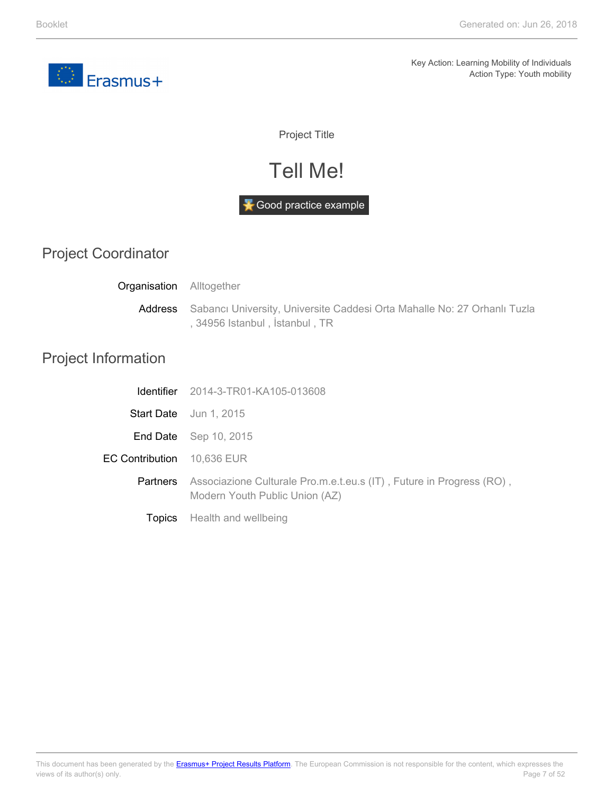<span id="page-6-0"></span>

Project Title

### Tell Me!

#### Good practice example

### Project Coordinator

| <b>Organisation</b> Alltogether |                                                                                                                      |  |
|---------------------------------|----------------------------------------------------------------------------------------------------------------------|--|
|                                 | Address Sabancı University, Universite Caddesi Orta Mahalle No: 27 Orhanlı Tuzla<br>, 34956 Istanbul , İstanbul , TR |  |

### Project Information

|                                   | <b>Identifier</b> 2014-3-TR01-KA105-013608                                                             |
|-----------------------------------|--------------------------------------------------------------------------------------------------------|
|                                   | <b>Start Date</b> Jun 1, 2015                                                                          |
|                                   | <b>End Date</b> Sep 10, 2015                                                                           |
| <b>EC Contribution</b> 10,636 EUR |                                                                                                        |
| <b>Partners</b>                   | Associazione Culturale Pro.m.e.t.eu.s (IT), Future in Progress (RO),<br>Modern Youth Public Union (AZ) |
|                                   | <b>Topics</b> Health and wellbeing                                                                     |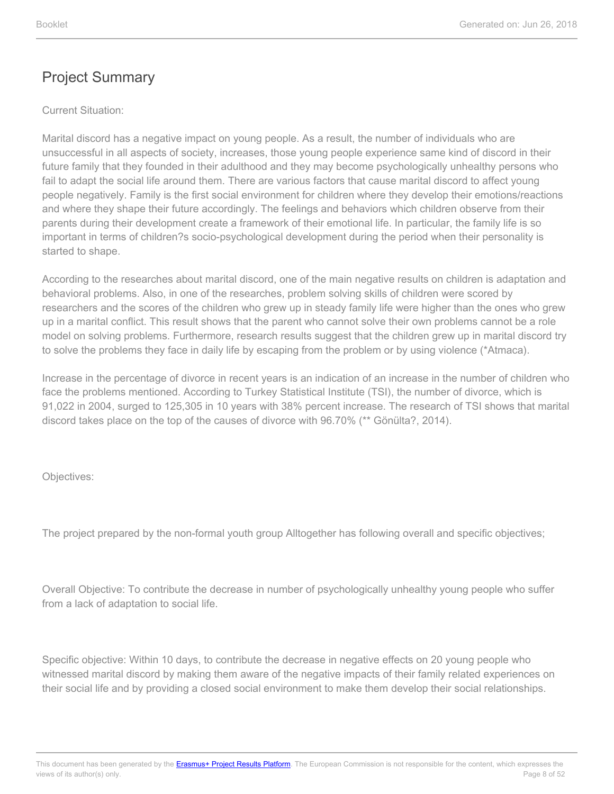#### Current Situation:

Marital discord has a negative impact on young people. As a result, the number of individuals who are unsuccessful in all aspects of society, increases, those young people experience same kind of discord in their future family that they founded in their adulthood and they may become psychologically unhealthy persons who fail to adapt the social life around them. There are various factors that cause marital discord to affect young people negatively. Family is the first social environment for children where they develop their emotions/reactions and where they shape their future accordingly. The feelings and behaviors which children observe from their parents during their development create a framework of their emotional life. In particular, the family life is so important in terms of children?s socio-psychological development during the period when their personality is started to shape.

According to the researches about marital discord, one of the main negative results on children is adaptation and behavioral problems. Also, in one of the researches, problem solving skills of children were scored by researchers and the scores of the children who grew up in steady family life were higher than the ones who grew up in a marital conflict. This result shows that the parent who cannot solve their own problems cannot be a role model on solving problems. Furthermore, research results suggest that the children grew up in marital discord try to solve the problems they face in daily life by escaping from the problem or by using violence (\*Atmaca).

Increase in the percentage of divorce in recent years is an indication of an increase in the number of children who face the problems mentioned. According to Turkey Statistical Institute (TSI), the number of divorce, which is 91,022 in 2004, surged to 125,305 in 10 years with 38% percent increase. The research of TSI shows that marital discord takes place on the top of the causes of divorce with 96.70% (\*\* Gönülta?, 2014).

Objectives:

The project prepared by the non-formal youth group Alltogether has following overall and specific objectives;

Overall Objective: To contribute the decrease in number of psychologically unhealthy young people who suffer from a lack of adaptation to social life.

Specific objective: Within 10 days, to contribute the decrease in negative effects on 20 young people who witnessed marital discord by making them aware of the negative impacts of their family related experiences on their social life and by providing a closed social environment to make them develop their social relationships.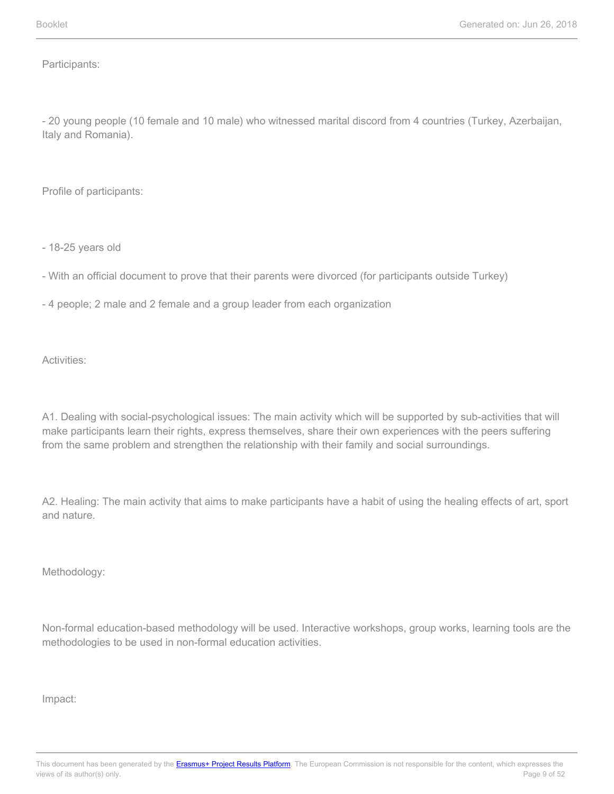Participants:

- 20 young people (10 female and 10 male) who witnessed marital discord from 4 countries (Turkey, Azerbaijan, Italy and Romania).

Profile of participants:

- 18-25 years old

- With an official document to prove that their parents were divorced (for participants outside Turkey)

- 4 people; 2 male and 2 female and a group leader from each organization

Activities:

A1. Dealing with social-psychological issues: The main activity which will be supported by sub-activities that will make participants learn their rights, express themselves, share their own experiences with the peers suffering from the same problem and strengthen the relationship with their family and social surroundings.

A2. Healing: The main activity that aims to make participants have a habit of using the healing effects of art, sport and nature.

Methodology:

Non-formal education-based methodology will be used. Interactive workshops, group works, learning tools are the methodologies to be used in non-formal education activities.

Impact: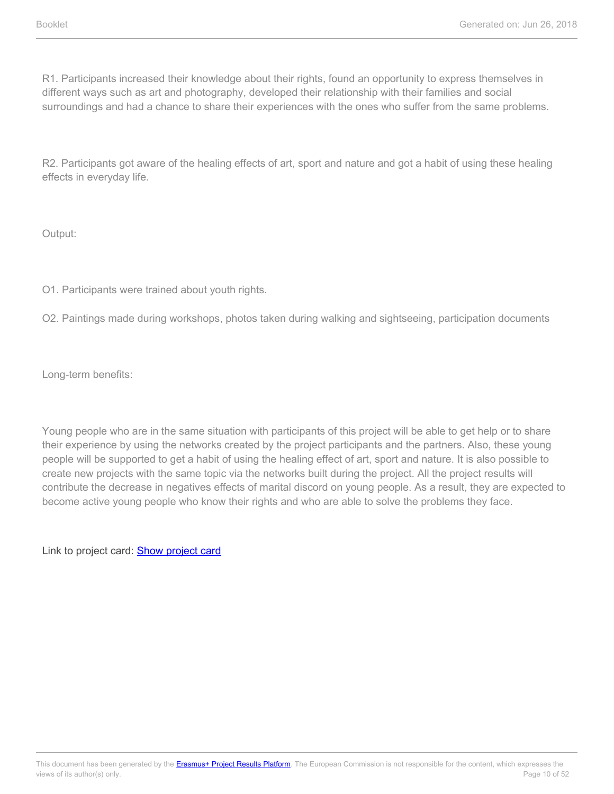R1. Participants increased their knowledge about their rights, found an opportunity to express themselves in different ways such as art and photography, developed their relationship with their families and social surroundings and had a chance to share their experiences with the ones who suffer from the same problems.

R2. Participants got aware of the healing effects of art, sport and nature and got a habit of using these healing effects in everyday life.

Output:

O1. Participants were trained about youth rights.

O2. Paintings made during workshops, photos taken during walking and sightseeing, participation documents

Long-term benefits:

Young people who are in the same situation with participants of this project will be able to get help or to share their experience by using the networks created by the project participants and the partners. Also, these young people will be supported to get a habit of using the healing effect of art, sport and nature. It is also possible to create new projects with the same topic via the networks built during the project. All the project results will contribute the decrease in negatives effects of marital discord on young people. As a result, they are expected to become active young people who know their rights and who are able to solve the problems they face.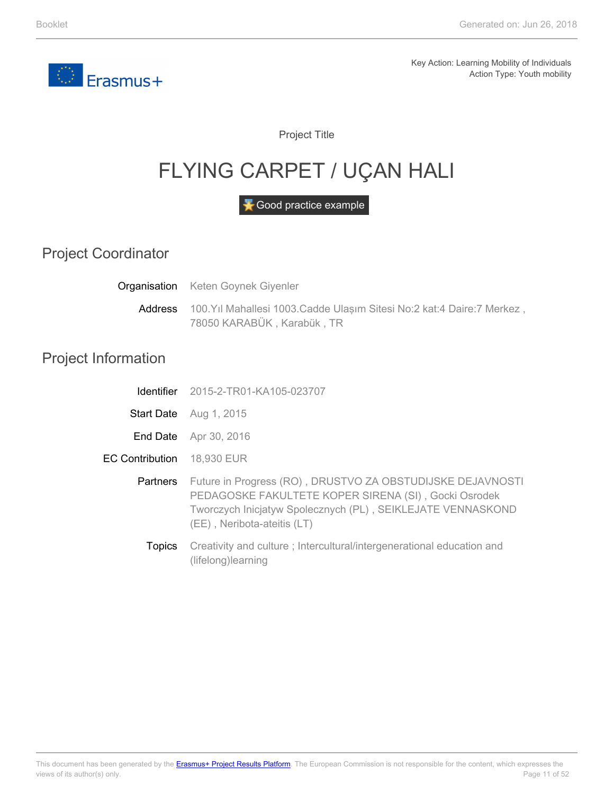<span id="page-10-0"></span>

Project Title

# FLYING CARPET / UÇAN HALI

Good practice example

Project Coordinator

Address **Organisation** Keten Goynek Giyenler 100.Yıl Mahallesi 1003.Cadde Ulaşım Sitesi No:2 kat:4 Daire:7 Merkez , 78050 KARABÜK , Karabük , TR

#### Project Information

|                        | <b>Identifier</b> 2015-2-TR01-KA105-023707                                                                                                                                                                       |
|------------------------|------------------------------------------------------------------------------------------------------------------------------------------------------------------------------------------------------------------|
| <b>Start Date</b>      | Aug 1, 2015                                                                                                                                                                                                      |
| End Date               | Apr 30, 2016                                                                                                                                                                                                     |
| <b>EC Contribution</b> | 18,930 EUR                                                                                                                                                                                                       |
| <b>Partners</b>        | Future in Progress (RO), DRUSTVO ZA OBSTUDIJSKE DEJAVNOSTI<br>PEDAGOSKE FAKULTETE KOPER SIRENA (SI), Gocki Osrodek<br>Tworczych Inicjatyw Spolecznych (PL), SEIKLEJATE VENNASKOND<br>(EE), Neribota-ateitis (LT) |
| <b>Topics</b>          | Creativity and culture; Intercultural/intergenerational education and                                                                                                                                            |

(lifelong)learning

Page 11 of 52 This document has been generated by the **Erasmus+ Project Results Platform**. The European Commission is not responsible for the content, which expresses the views of its author(s) only.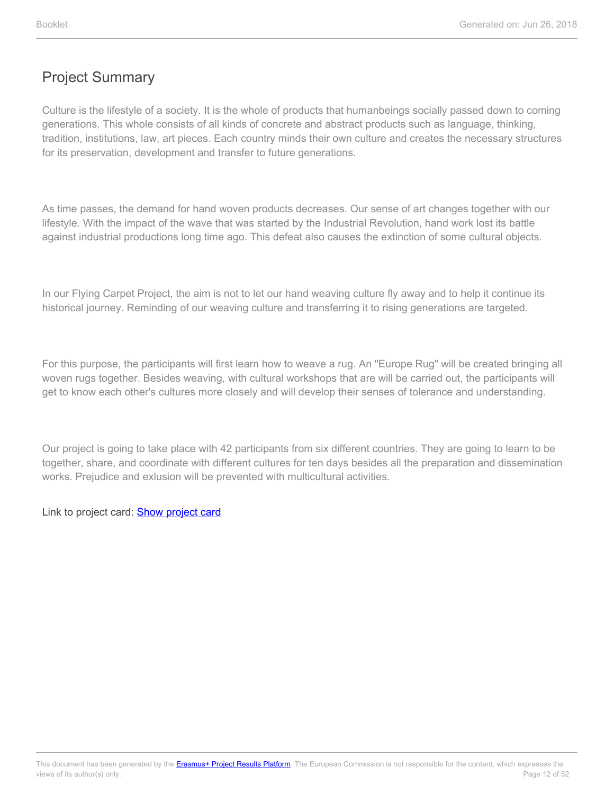Culture is the lifestyle of a society. It is the whole of products that humanbeings socially passed down to coming generations. This whole consists of all kinds of concrete and abstract products such as language, thinking, tradition, institutions, law, art pieces. Each country minds their own culture and creates the necessary structures for its preservation, development and transfer to future generations.

As time passes, the demand for hand woven products decreases. Our sense of art changes together with our lifestyle. With the impact of the wave that was started by the Industrial Revolution, hand work lost its battle against industrial productions long time ago. This defeat also causes the extinction of some cultural objects.

In our Flying Carpet Project, the aim is not to let our hand weaving culture fly away and to help it continue its historical journey. Reminding of our weaving culture and transferring it to rising generations are targeted.

For this purpose, the participants will first learn how to weave a rug. An "Europe Rug" will be created bringing all woven rugs together. Besides weaving, with cultural workshops that are will be carried out, the participants will get to know each other's cultures more closely and will develop their senses of tolerance and understanding.

Our project is going to take place with 42 participants from six different countries. They are going to learn to be together, share, and coordinate with different cultures for ten days besides all the preparation and dissemination works. Prejudice and exlusion will be prevented with multicultural activities.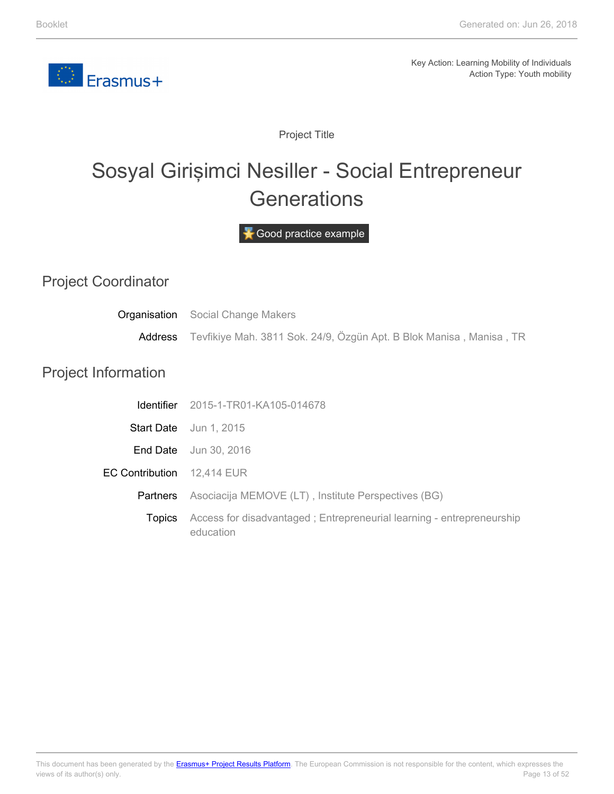<span id="page-12-0"></span>

Project Title

# Sosyal Girişimci Nesiller - Social Entrepreneur **Generations**

Good practice example

#### Project Coordinator

|                            | <b>Organisation</b> Social Change Makers<br>Address Tevfikiye Mah. 3811 Sok. 24/9, Özgün Apt. B Blok Manisa, Manisa, TR |
|----------------------------|-------------------------------------------------------------------------------------------------------------------------|
| <b>Project Information</b> |                                                                                                                         |
|                            | <b>Identifier</b> 2015-1-TR01-KA105-014678                                                                              |
|                            | Start Date Jun 1, 2015                                                                                                  |
|                            | <b>End Date</b> Jun 30, 2016                                                                                            |
| EC Contribution 12,414 EUR |                                                                                                                         |
| <b>Partners</b>            | Asociacija MEMOVE (LT), Institute Perspectives (BG)                                                                     |
| <b>Topics</b>              | Access for disadvantaged; Entrepreneurial learning - entrepreneurship<br>education                                      |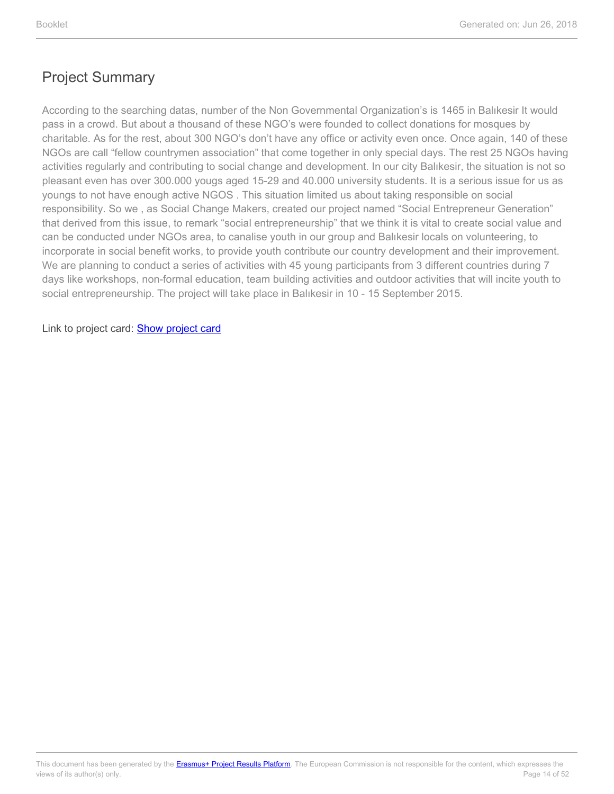According to the searching datas, number of the Non Governmental Organization's is 1465 in Balıkesir It would pass in a crowd. But about a thousand of these NGO's were founded to collect donations for mosques by charitable. As for the rest, about 300 NGO's don't have any office or activity even once. Once again, 140 of these NGOs are call "fellow countrymen association" that come together in only special days. The rest 25 NGOs having activities regularly and contributing to social change and development. In our city Balıkesir, the situation is not so pleasant even has over 300.000 yougs aged 15-29 and 40.000 university students. It is a serious issue for us as youngs to not have enough active NGOS . This situation limited us about taking responsible on social responsibility. So we , as Social Change Makers, created our project named "Social Entrepreneur Generation" that derived from this issue, to remark "social entrepreneurship" that we think it is vital to create social value and can be conducted under NGOs area, to canalise youth in our group and Balıkesir locals on volunteering, to incorporate in social benefit works, to provide youth contribute our country development and their improvement. We are planning to conduct a series of activities with 45 young participants from 3 different countries during 7 days like workshops, non-formal education, team building activities and outdoor activities that will incite youth to social entrepreneurship. The project will take place in Balıkesir in 10 - 15 September 2015.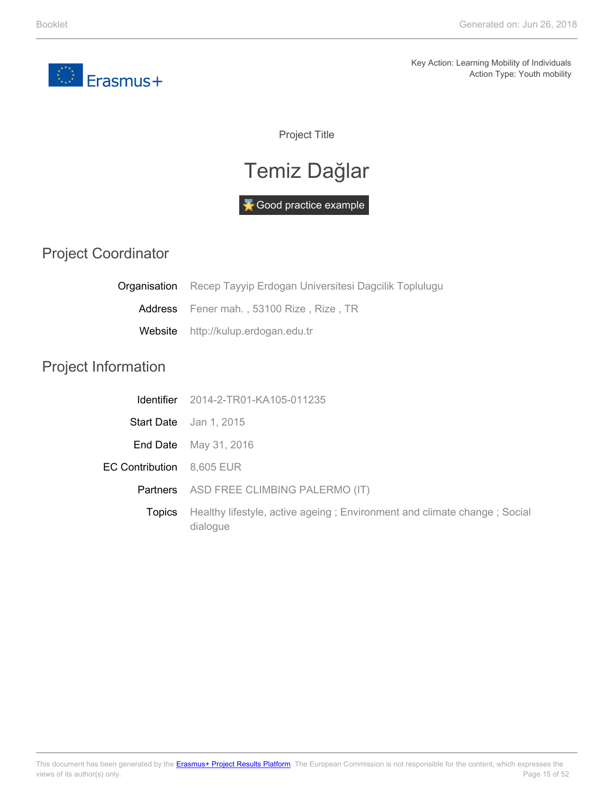<span id="page-14-0"></span>

Project Title

# Temiz Dağlar

Good practice example

#### Project Coordinator

|                            | <b>Organisation</b> Recep Tayyip Erdogan Universitesi Dagcilik Toplulugu             |
|----------------------------|--------------------------------------------------------------------------------------|
| Address                    | Fener mah., 53100 Rize, Rize, TR                                                     |
| Website                    | http://kulup.erdogan.edu.tr                                                          |
| <b>Project Information</b> |                                                                                      |
|                            | <b>Identifier</b> 2014-2-TR01-KA105-011235                                           |
|                            | Start Date Jan 1, 2015                                                               |
| End Date                   | May 31, 2016                                                                         |
| EC Contribution 8,605 EUR  |                                                                                      |
| <b>Partners</b>            | ASD FREE CLIMBING PALERMO (IT)                                                       |
| <b>Topics</b>              | Healthy lifestyle, active ageing; Environment and climate change; Social<br>dialogue |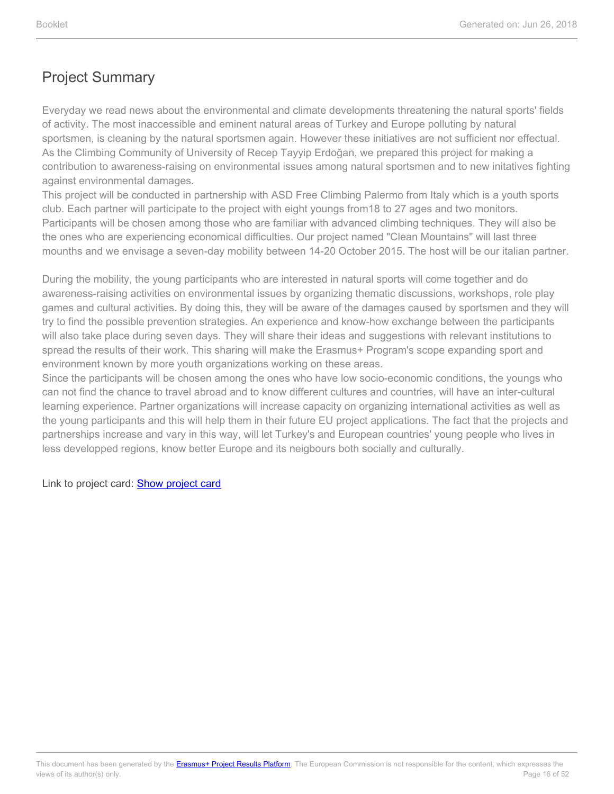Everyday we read news about the environmental and climate developments threatening the natural sports' fields of activity. The most inaccessible and eminent natural areas of Turkey and Europe polluting by natural sportsmen, is cleaning by the natural sportsmen again. However these initiatives are not sufficient nor effectual. As the Climbing Community of University of Recep Tayyip Erdoğan, we prepared this project for making a contribution to awareness-raising on environmental issues among natural sportsmen and to new initatives fighting against environmental damages.

This project will be conducted in partnership with ASD Free Climbing Palermo from Italy which is a youth sports club. Each partner will participate to the project with eight youngs from18 to 27 ages and two monitors. Participants will be chosen among those who are familiar with advanced climbing techniques. They will also be the ones who are experiencing economical difficulties. Our project named "Clean Mountains" will last three mounths and we envisage a seven-day mobility between 14-20 October 2015. The host will be our italian partner.

During the mobility, the young participants who are interested in natural sports will come together and do awareness-raising activities on environmental issues by organizing thematic discussions, workshops, role play games and cultural activities. By doing this, they will be aware of the damages caused by sportsmen and they will try to find the possible prevention strategies. An experience and know-how exchange between the participants will also take place during seven days. They will share their ideas and suggestions with relevant institutions to spread the results of their work. This sharing will make the Erasmus+ Program's scope expanding sport and environment known by more youth organizations working on these areas.

Since the participants will be chosen among the ones who have low socio-economic conditions, the youngs who can not find the chance to travel abroad and to know different cultures and countries, will have an inter-cultural learning experience. Partner organizations will increase capacity on organizing international activities as well as the young participants and this will help them in their future EU project applications. The fact that the projects and partnerships increase and vary in this way, will let Turkey's and European countries' young people who lives in less developped regions, know better Europe and its neigbours both socially and culturally.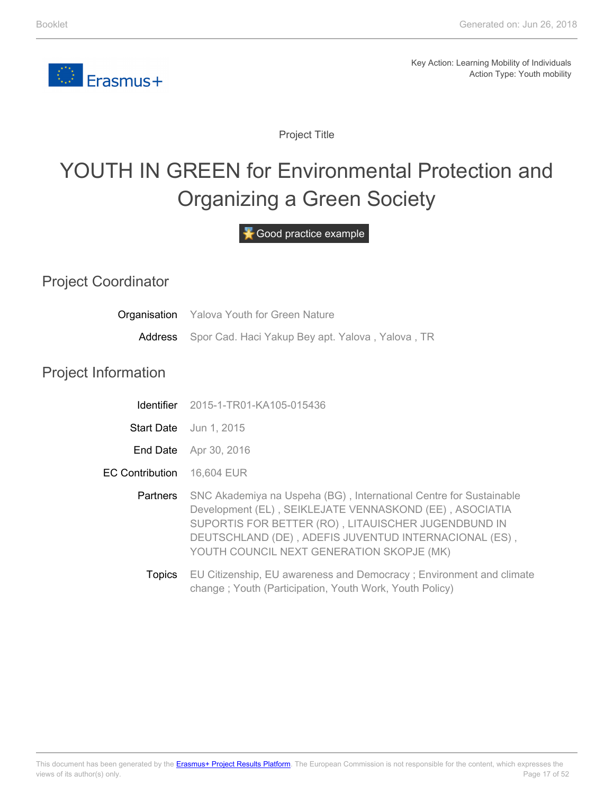

Project Title

# <span id="page-16-0"></span>YOUTH IN GREEN for Environmental Protection and Organizing a Green Society

Good practice example

#### Project Coordinator

Project

| Organisation           | <b>Yalova Youth for Green Nature</b>                                                                                                                                                                                                                                                       |
|------------------------|--------------------------------------------------------------------------------------------------------------------------------------------------------------------------------------------------------------------------------------------------------------------------------------------|
| Address                | Spor Cad. Haci Yakup Bey apt. Yalova, Yalova, TR                                                                                                                                                                                                                                           |
| Information            |                                                                                                                                                                                                                                                                                            |
|                        | <b>Identifier</b> 2015-1-TR01-KA105-015436                                                                                                                                                                                                                                                 |
|                        | Start Date Jun 1, 2015                                                                                                                                                                                                                                                                     |
|                        | End Date Apr 30, 2016                                                                                                                                                                                                                                                                      |
| <b>EC Contribution</b> | 16,604 EUR                                                                                                                                                                                                                                                                                 |
| Partners               | SNC Akademiya na Uspeha (BG), International Centre for Sustainable<br>Development (EL), SEIKLEJATE VENNASKOND (EE), ASOCIATIA<br>SUPORTIS FOR BETTER (RO), LITAUISCHER JUGENDBUND IN<br>DEUTSCHLAND (DE), ADEFIS JUVENTUD INTERNACIONAL (ES),<br>YOUTH COUNCIL NEXT GENERATION SKOPJE (MK) |
| <b>Topics</b>          | EU Citizenship, EU awareness and Democracy; Environment and climate<br>change; Youth (Participation, Youth Work, Youth Policy)                                                                                                                                                             |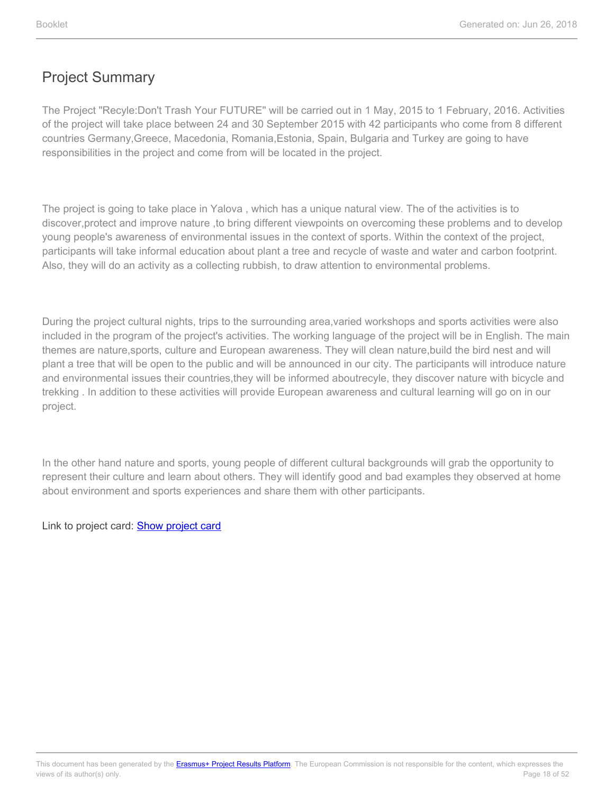The Project "Recyle:Don't Trash Your FUTURE" will be carried out in 1 May, 2015 to 1 February, 2016. Activities of the project will take place between 24 and 30 September 2015 with 42 participants who come from 8 different countries Germany,Greece, Macedonia, Romania,Estonia, Spain, Bulgaria and Turkey are going to have responsibilities in the project and come from will be located in the project.

The project is going to take place in Yalova , which has a unique natural view. The of the activities is to discover,protect and improve nature ,to bring different viewpoints on overcoming these problems and to develop young people's awareness of environmental issues in the context of sports. Within the context of the project, participants will take informal education about plant a tree and recycle of waste and water and carbon footprint. Also, they will do an activity as a collecting rubbish, to draw attention to environmental problems.

During the project cultural nights, trips to the surrounding area,varied workshops and sports activities were also included in the program of the project's activities. The working language of the project will be in English. The main themes are nature,sports, culture and European awareness. They will clean nature,build the bird nest and will plant a tree that will be open to the public and will be announced in our city. The participants will introduce nature and environmental issues their countries,they will be informed aboutrecyle, they discover nature with bicycle and trekking . In addition to these activities will provide European awareness and cultural learning will go on in our project.

In the other hand nature and sports, young people of different cultural backgrounds will grab the opportunity to represent their culture and learn about others. They will identify good and bad examples they observed at home about environment and sports experiences and share them with other participants.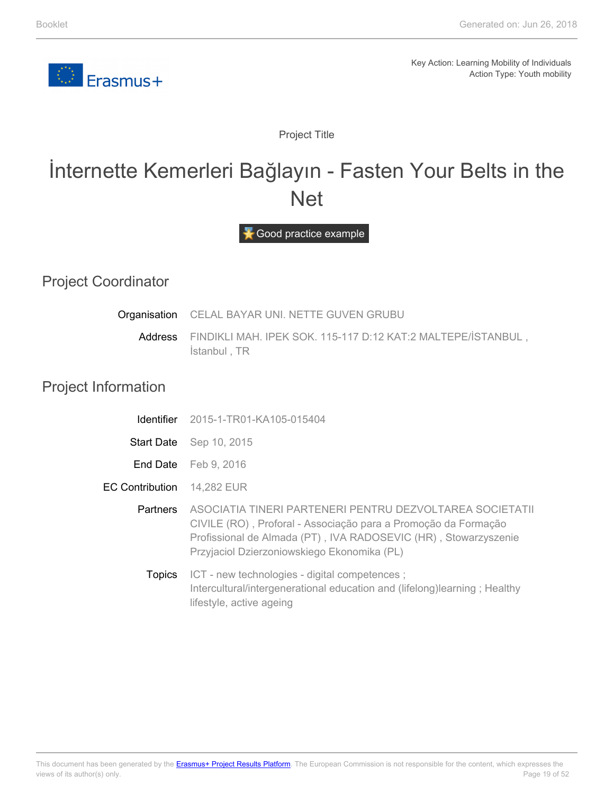

Project Title

### <span id="page-18-0"></span>İnternette Kemerleri Bağlayın - Fasten Your Belts in the Net

Good practice example

#### Project Coordinator

| Organisation               | CELAL BAYAR UNI. NETTE GUVEN GRUBU                                                                                                                                                                                                           |  |
|----------------------------|----------------------------------------------------------------------------------------------------------------------------------------------------------------------------------------------------------------------------------------------|--|
| <b>Address</b>             | FINDIKLI MAH. IPEK SOK. 115-117 D:12 KAT:2 MALTEPE/İSTANBUL,<br>Istanbul, TR                                                                                                                                                                 |  |
| <b>Project Information</b> |                                                                                                                                                                                                                                              |  |
| Identifier                 | 2015-1-TR01-KA105-015404                                                                                                                                                                                                                     |  |
|                            | <b>Start Date</b> Sep 10, 2015                                                                                                                                                                                                               |  |
|                            | End Date Feb 9, 2016                                                                                                                                                                                                                         |  |
| <b>EC Contribution</b>     | 14,282 EUR                                                                                                                                                                                                                                   |  |
| <b>Partners</b>            | ASOCIATIA TINERI PARTENERI PENTRU DEZVOLTAREA SOCIETATII<br>CIVILE (RO), Proforal - Associação para a Promoção da Formação<br>Profissional de Almada (PT), IVA RADOSEVIC (HR), Stowarzyszenie<br>Przyjaciol Dzierzoniowskiego Ekonomika (PL) |  |
| <b>Topics</b>              | ICT - new technologies - digital competences;<br>Intercultural/intergenerational education and (lifelong) learning; Healthy<br>lifestyle, active ageing                                                                                      |  |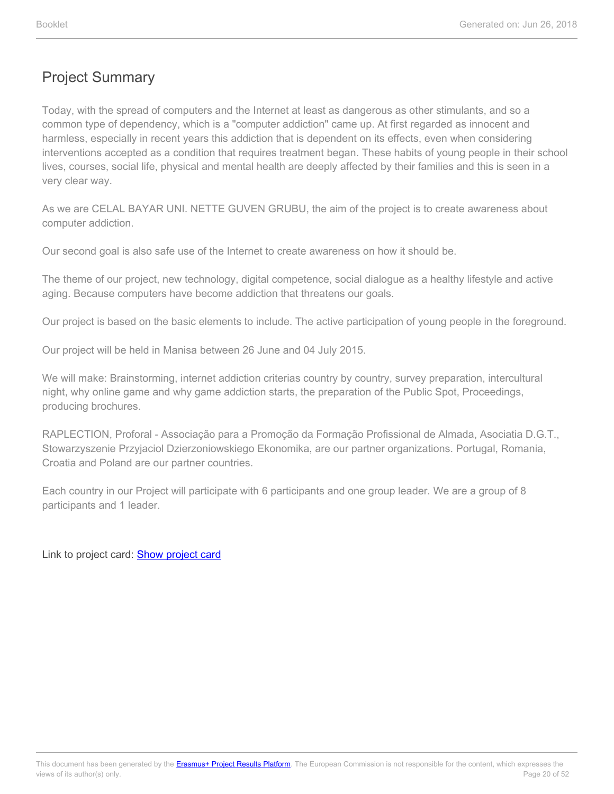Today, with the spread of computers and the Internet at least as dangerous as other stimulants, and so a common type of dependency, which is a "computer addiction" came up. At first regarded as innocent and harmless, especially in recent years this addiction that is dependent on its effects, even when considering interventions accepted as a condition that requires treatment began. These habits of young people in their school lives, courses, social life, physical and mental health are deeply affected by their families and this is seen in a very clear way.

As we are CELAL BAYAR UNI. NETTE GUVEN GRUBU, the aim of the project is to create awareness about computer addiction.

Our second goal is also safe use of the Internet to create awareness on how it should be.

The theme of our project, new technology, digital competence, social dialogue as a healthy lifestyle and active aging. Because computers have become addiction that threatens our goals.

Our project is based on the basic elements to include. The active participation of young people in the foreground.

Our project will be held in Manisa between 26 June and 04 July 2015.

We will make: Brainstorming, internet addiction criterias country by country, survey preparation, intercultural night, why online game and why game addiction starts, the preparation of the Public Spot, Proceedings, producing brochures.

RAPLECTION, Proforal - Associação para a Promoção da Formação Profissional de Almada, Asociatia D.G.T., Stowarzyszenie Przyjaciol Dzierzoniowskiego Ekonomika, are our partner organizations. Portugal, Romania, Croatia and Poland are our partner countries.

Each country in our Project will participate with 6 participants and one group leader. We are a group of 8 participants and 1 leader.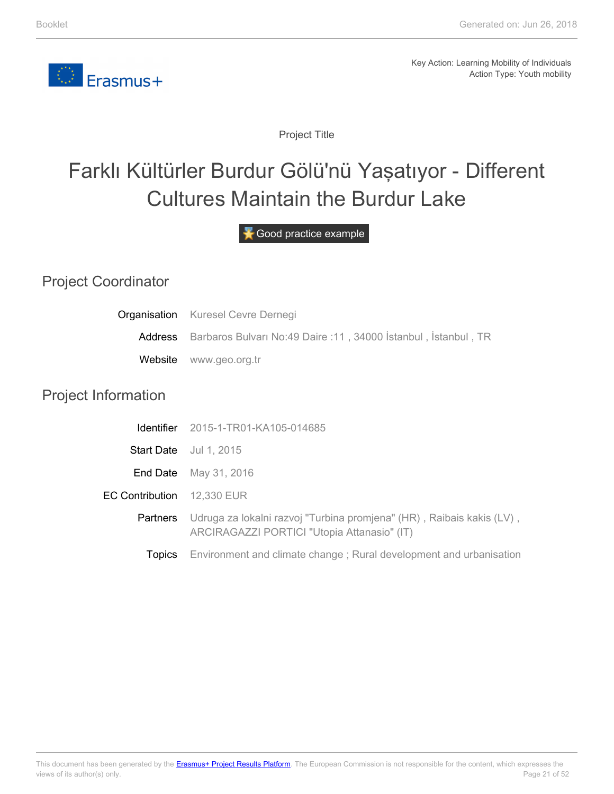

Project Title

# <span id="page-20-0"></span>Farklı Kültürler Burdur Gölü'nü Yaşatıyor - Different Cultures Maintain the Burdur Lake

Good practice example

### Project Coordinator

|                            | <b>Organisation</b> Kuresel Cevre Dernegi                                                                            |  |
|----------------------------|----------------------------------------------------------------------------------------------------------------------|--|
|                            | Address Barbaros Bulvari No:49 Daire :11, 34000 Istanbul, Istanbul, TR                                               |  |
| Website                    | www.geo.org.tr                                                                                                       |  |
| <b>Project Information</b> |                                                                                                                      |  |
| <b>Identifier</b>          | 2015-1-TR01-KA105-014685                                                                                             |  |
|                            | Start Date Jul 1, 2015                                                                                               |  |
| End Date                   | May 31, 2016                                                                                                         |  |
| <b>EC Contribution</b>     | 12,330 EUR                                                                                                           |  |
| Partners                   | Udruga za lokalni razvoj "Turbina promjena" (HR), Raibais kakis (LV),<br>ARCIRAGAZZI PORTICI "Utopia Attanasio" (IT) |  |
| <b>Topics</b>              | Environment and climate change; Rural development and urbanisation                                                   |  |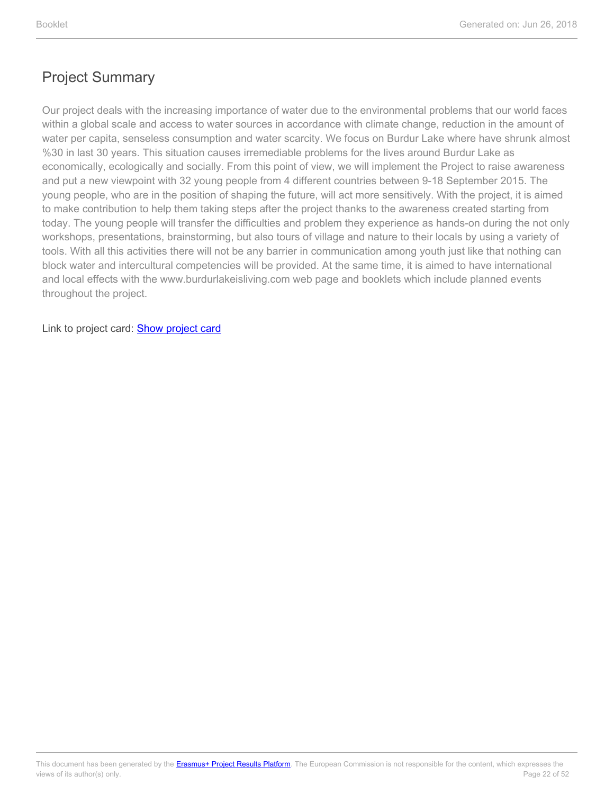Our project deals with the increasing importance of water due to the environmental problems that our world faces within a global scale and access to water sources in accordance with climate change, reduction in the amount of water per capita, senseless consumption and water scarcity. We focus on Burdur Lake where have shrunk almost %30 in last 30 years. This situation causes irremediable problems for the lives around Burdur Lake as economically, ecologically and socially. From this point of view, we will implement the Project to raise awareness and put a new viewpoint with 32 young people from 4 different countries between 9-18 September 2015. The young people, who are in the position of shaping the future, will act more sensitively. With the project, it is aimed to make contribution to help them taking steps after the project thanks to the awareness created starting from today. The young people will transfer the difficulties and problem they experience as hands-on during the not only workshops, presentations, brainstorming, but also tours of village and nature to their locals by using a variety of tools. With all this activities there will not be any barrier in communication among youth just like that nothing can block water and intercultural competencies will be provided. At the same time, it is aimed to have international and local effects with the www.burdurlakeisliving.com web page and booklets which include planned events throughout the project.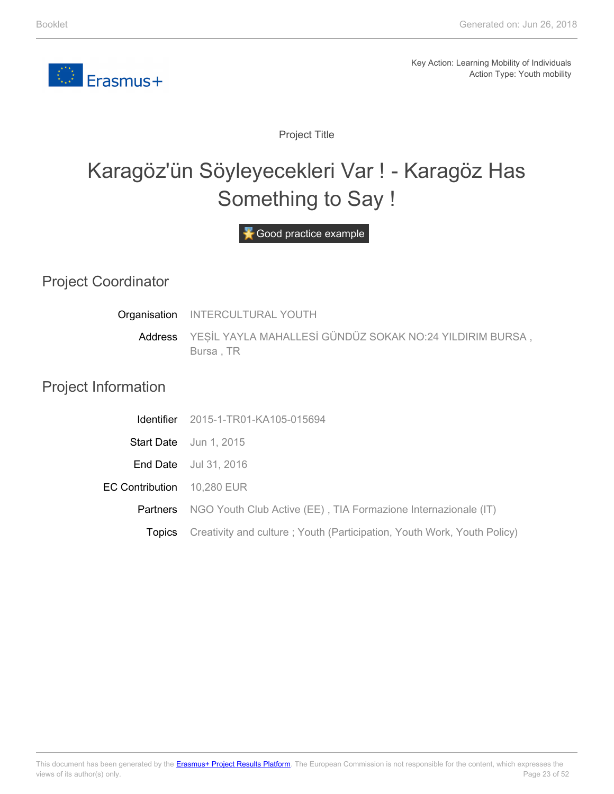<span id="page-22-0"></span>

Project Title

# Karagöz'ün Söyleyecekleri Var ! - Karagöz Has Something to Say !

Good practice example

#### Project Coordinator

| Organisation               | <b>INTERCULTURAL YOUTH</b>                                              |
|----------------------------|-------------------------------------------------------------------------|
| Address                    | YEŞİL YAYLA MAHALLESİ GÜNDÜZ SOKAK NO:24 YILDIRIM BURSA,<br>Bursa, TR   |
| <b>Project Information</b> |                                                                         |
| <b>Identifier</b>          | 2015-1-TR01-KA105-015694                                                |
|                            | Start Date Jun 1, 2015                                                  |
| End Date                   | Jul 31, 2016                                                            |
| <b>EC Contribution</b>     | 10,280 EUR                                                              |
| <b>Partners</b>            | NGO Youth Club Active (EE), TIA Formazione Internazionale (IT)          |
| <b>Topics</b>              | Creativity and culture; Youth (Participation, Youth Work, Youth Policy) |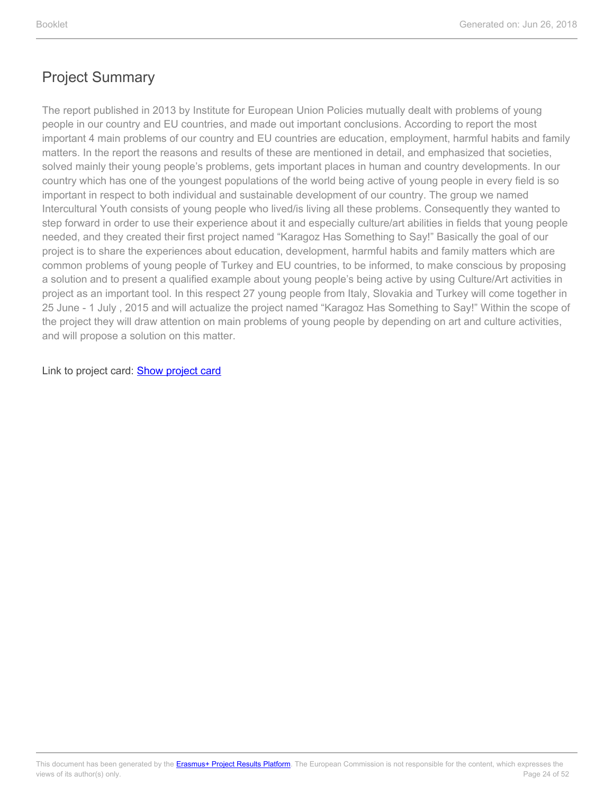The report published in 2013 by Institute for European Union Policies mutually dealt with problems of young people in our country and EU countries, and made out important conclusions. According to report the most important 4 main problems of our country and EU countries are education, employment, harmful habits and family matters. In the report the reasons and results of these are mentioned in detail, and emphasized that societies, solved mainly their young people's problems, gets important places in human and country developments. In our country which has one of the youngest populations of the world being active of young people in every field is so important in respect to both individual and sustainable development of our country. The group we named Intercultural Youth consists of young people who lived/is living all these problems. Consequently they wanted to step forward in order to use their experience about it and especially culture/art abilities in fields that young people needed, and they created their first project named "Karagoz Has Something to Say!" Basically the goal of our project is to share the experiences about education, development, harmful habits and family matters which are common problems of young people of Turkey and EU countries, to be informed, to make conscious by proposing a solution and to present a qualified example about young people's being active by using Culture/Art activities in project as an important tool. In this respect 27 young people from Italy, Slovakia and Turkey will come together in 25 June - 1 July , 2015 and will actualize the project named "Karagoz Has Something to Say!" Within the scope of the project they will draw attention on main problems of young people by depending on art and culture activities, and will propose a solution on this matter.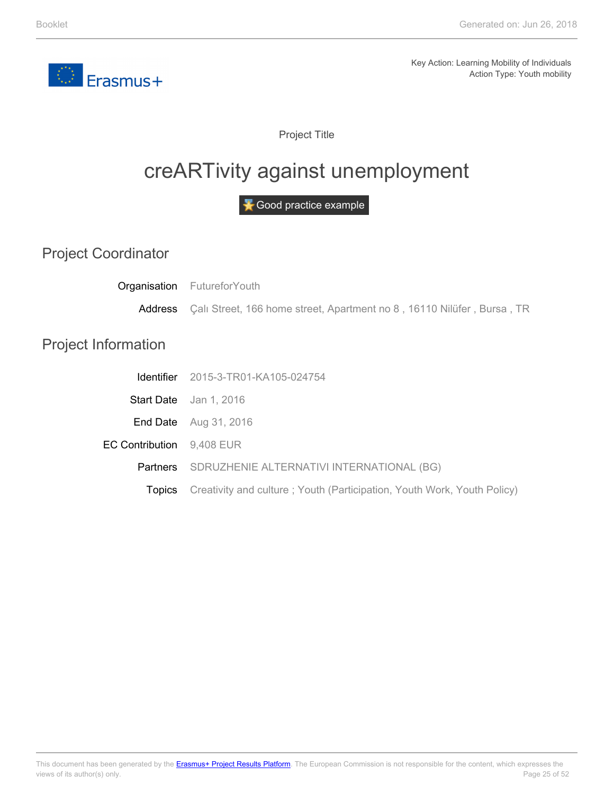<span id="page-24-0"></span>

Project Title

# creARTivity against unemployment

Good practice example

Project Coordinator

**Topics** 

|                            | Organisation FutureforYouth                                            |
|----------------------------|------------------------------------------------------------------------|
| Address                    | Çalı Street, 166 home street, Apartment no 8, 16110 Nilüfer, Bursa, TR |
| <b>Project Information</b> |                                                                        |
| Identifier                 | 2015-3-TR01-KA105-024754                                               |
| <b>Start Date</b>          | Jan 1, 2016                                                            |
| End Date                   | Aug 31, 2016                                                           |
| <b>EC Contribution</b>     | 9,408 EUR                                                              |
| Partners                   | SDRUZHENIE ALTERNATIVI INTERNATIONAL (BG)                              |
|                            |                                                                        |

Creativity and culture ; Youth (Participation, Youth Work, Youth Policy)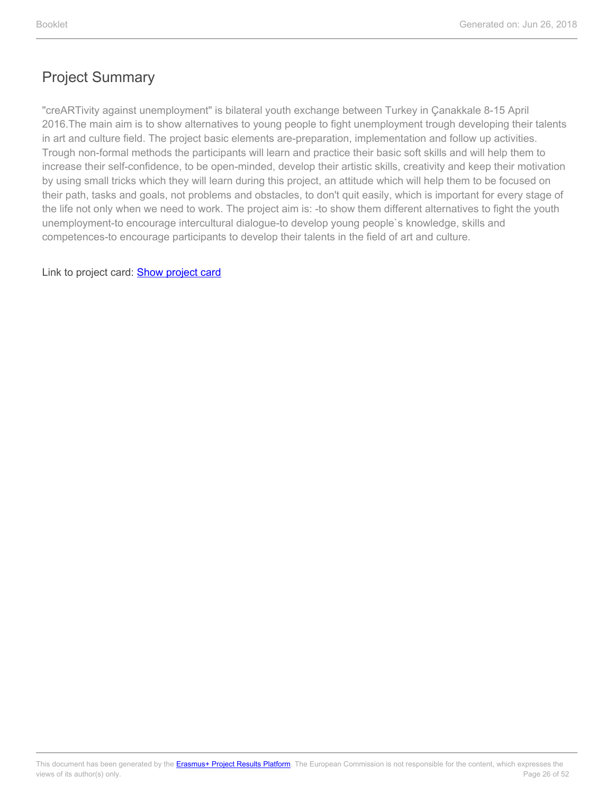"creARTivity against unemployment" is bilateral youth exchange between Turkey in Çanakkale 8-15 April 2016.The main aim is to show alternatives to young people to fight unemployment trough developing their talents in art and culture field. The project basic elements are-preparation, implementation and follow up activities. Trough non-formal methods the participants will learn and practice their basic soft skills and will help them to increase their self-confidence, to be open-minded, develop their artistic skills, creativity and keep their motivation by using small tricks which they will learn during this project, an attitude which will help them to be focused on their path, tasks and goals, not problems and obstacles, to don't quit easily, which is important for every stage of the life not only when we need to work. The project aim is: -to show them different alternatives to fight the youth unemployment-to encourage intercultural dialogue-to develop young people`s knowledge, skills and competences-to encourage participants to develop their talents in the field of art and culture.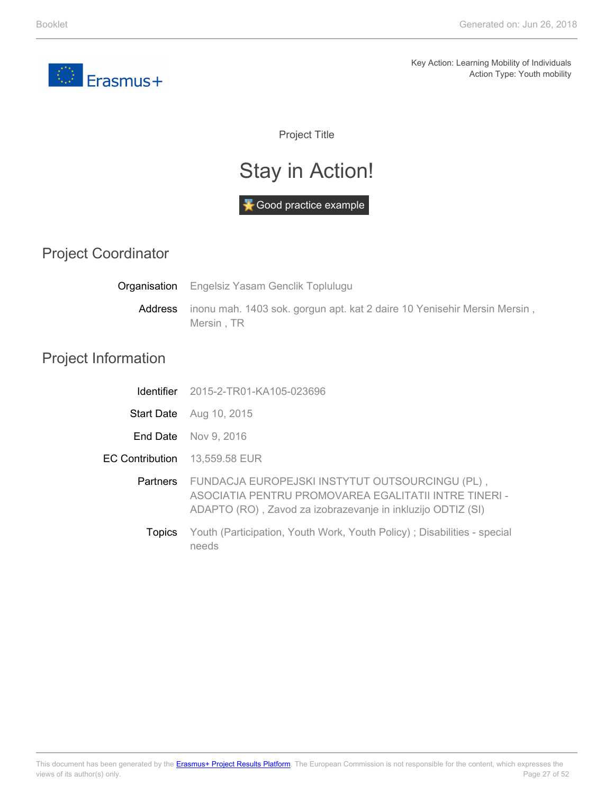<span id="page-26-0"></span>

Project Title

# Stay in Action!



#### Project Coordinator

Address **Organisation** Engelsiz Yasam Genclik Toplulugu inonu mah. 1403 sok. gorgun apt. kat 2 daire 10 Yenisehir Mersin Mersin, Mersin , TR

#### Project Information

|                               | <b>Identifier</b> 2015-2-TR01-KA105-023696                                                                                                                                       |
|-------------------------------|----------------------------------------------------------------------------------------------------------------------------------------------------------------------------------|
|                               | <b>Start Date</b> Aug 10, 2015                                                                                                                                                   |
|                               | <b>End Date</b> Nov 9, 2016                                                                                                                                                      |
| EC Contribution 13,559.58 EUR |                                                                                                                                                                                  |
|                               | Partners FUNDACJA EUROPEJSKI INSTYTUT OUTSOURCINGU (PL),<br>ASOCIATIA PENTRU PROMOVAREA EGALITATII INTRE TINERI -<br>ADAPTO (RO), Zavod za izobrazevanje in inkluzijo ODTIZ (SI) |
| <b>LODICS</b>                 | Youth (Participation, Youth Work, Youth Policy); Disabilities - special<br>needs                                                                                                 |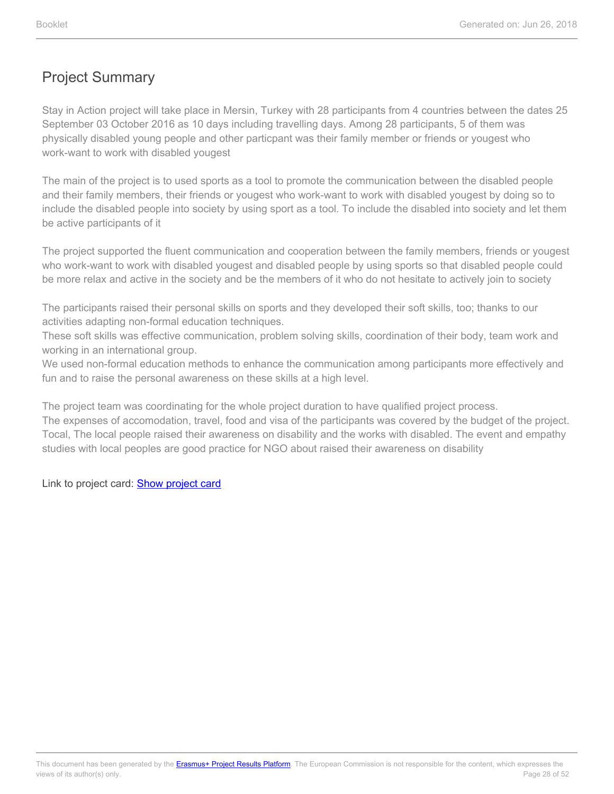Stay in Action project will take place in Mersin, Turkey with 28 participants from 4 countries between the dates 25 September 03 October 2016 as 10 days including travelling days. Among 28 participants, 5 of them was physically disabled young people and other particpant was their family member or friends or yougest who work-want to work with disabled yougest

The main of the project is to used sports as a tool to promote the communication between the disabled people and their family members, their friends or yougest who work-want to work with disabled yougest by doing so to include the disabled people into society by using sport as a tool. To include the disabled into society and let them be active participants of it

The project supported the fluent communication and cooperation between the family members, friends or yougest who work-want to work with disabled yougest and disabled people by using sports so that disabled people could be more relax and active in the society and be the members of it who do not hesitate to actively join to society

The participants raised their personal skills on sports and they developed their soft skills, too; thanks to our activities adapting non-formal education techniques.

These soft skills was effective communication, problem solving skills, coordination of their body, team work and working in an international group.

We used non-formal education methods to enhance the communication among participants more effectively and fun and to raise the personal awareness on these skills at a high level.

The project team was coordinating for the whole project duration to have qualified project process.

The expenses of accomodation, travel, food and visa of the participants was covered by the budget of the project. Tocal, The local people raised their awareness on disability and the works with disabled. The event and empathy studies with local peoples are good practice for NGO about raised their awareness on disability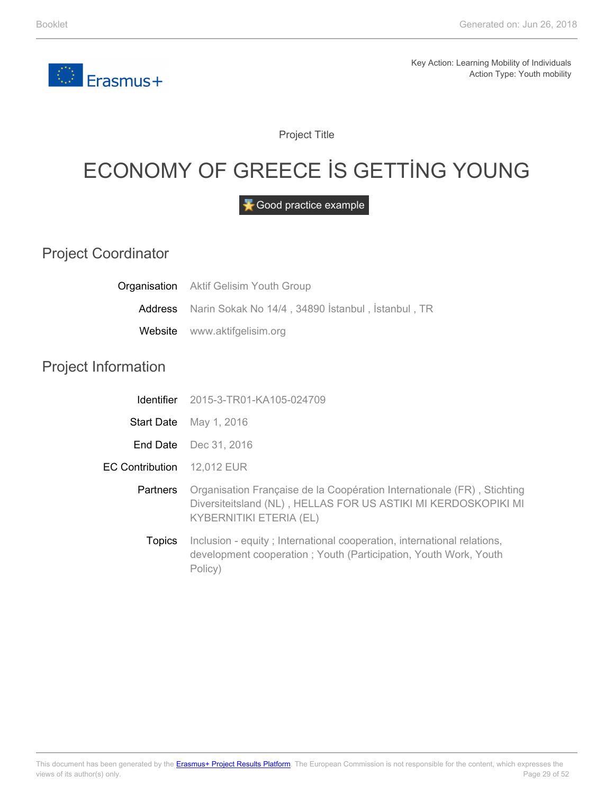<span id="page-28-0"></span>

Project Title

# ECONOMY OF GREECE İS GETTİNG YOUNG

Good practice example

#### Project Coordinator

|                            | <b>Organisation</b> Aktif Gelisim Youth Group                                                                                                                               |
|----------------------------|-----------------------------------------------------------------------------------------------------------------------------------------------------------------------------|
| Address                    | Narin Sokak No 14/4, 34890 İstanbul, İstanbul, TR                                                                                                                           |
| Website                    | www.aktifgelisim.org                                                                                                                                                        |
| <b>Project Information</b> |                                                                                                                                                                             |
| <b>Identifier</b>          | 2015-3-TR01-KA105-024709                                                                                                                                                    |
|                            | Start Date May 1, 2016                                                                                                                                                      |
| End Date                   | Dec 31, 2016                                                                                                                                                                |
| <b>EC Contribution</b>     | 12,012 EUR                                                                                                                                                                  |
| Partners                   | Organisation Française de la Coopération Internationale (FR), Stichting<br>Diversiteitsland (NL), HELLAS FOR US ASTIKI MI KERDOSKOPIKI MI<br><b>KYBERNITIKI ETERIA (EL)</b> |
| <b>Topics</b>              | Inclusion - equity; International cooperation, international relations,<br>development cooperation; Youth (Participation, Youth Work, Youth                                 |

Policy)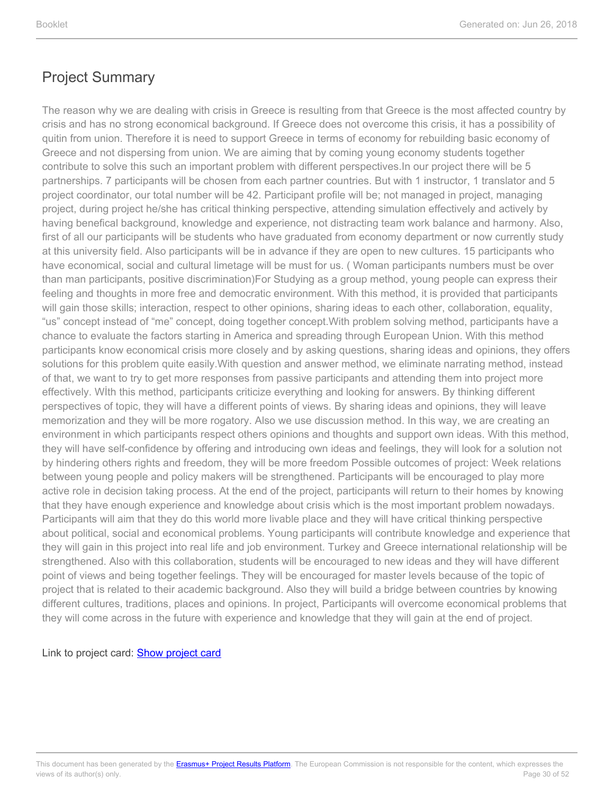The reason why we are dealing with crisis in Greece is resulting from that Greece is the most affected country by crisis and has no strong economical background. If Greece does not overcome this crisis, it has a possibility of quitin from union. Therefore it is need to support Greece in terms of economy for rebuilding basic economy of Greece and not dispersing from union. We are aiming that by coming young economy students together contribute to solve this such an important problem with different perspectives.In our project there will be 5 partnerships. 7 participants will be chosen from each partner countries. But with 1 instructor, 1 translator and 5 project coordinator, our total number will be 42. Participant profile will be; not managed in project, managing project, during project he/she has critical thinking perspective, attending simulation effectively and actively by having benefical background, knowledge and experience, not distracting team work balance and harmony. Also, first of all our participants will be students who have graduated from economy department or now currently study at this university field. Also participants will be in advance if they are open to new cultures. 15 participants who have economical, social and cultural limetage will be must for us. ( Woman participants numbers must be over than man participants, positive discrimination)For Studying as a group method, young people can express their feeling and thoughts in more free and democratic environment. With this method, it is provided that participants will gain those skills; interaction, respect to other opinions, sharing ideas to each other, collaboration, equality, "us" concept instead of "me" concept, doing together concept.With problem solving method, participants have a chance to evaluate the factors starting in America and spreading through European Union. With this method participants know economical crisis more closely and by asking questions, sharing ideas and opinions, they offers solutions for this problem quite easily.With question and answer method, we eliminate narrating method, instead of that, we want to try to get more responses from passive participants and attending them into project more effectively. Wİth this method, participants criticize everything and looking for answers. By thinking different perspectives of topic, they will have a different points of views. By sharing ideas and opinions, they will leave memorization and they will be more rogatory. Also we use discussion method. In this way, we are creating an environment in which participants respect others opinions and thoughts and support own ideas. With this method, they will have self-confidence by offering and introducing own ideas and feelings, they will look for a solution not by hindering others rights and freedom, they will be more freedom Possible outcomes of project: Week relations between young people and policy makers will be strengthened. Participants will be encouraged to play more active role in decision taking process. At the end of the project, participants will return to their homes by knowing that they have enough experience and knowledge about crisis which is the most important problem nowadays. Participants will aim that they do this world more livable place and they will have critical thinking perspective about political, social and economical problems. Young participants will contribute knowledge and experience that they will gain in this project into real life and job environment. Turkey and Greece international relationship will be strengthened. Also with this collaboration, students will be encouraged to new ideas and they will have different point of views and being together feelings. They will be encouraged for master levels because of the topic of project that is related to their academic background. Also they will build a bridge between countries by knowing different cultures, traditions, places and opinions. In project, Participants will overcome economical problems that they will come across in the future with experience and knowledge that they will gain at the end of project.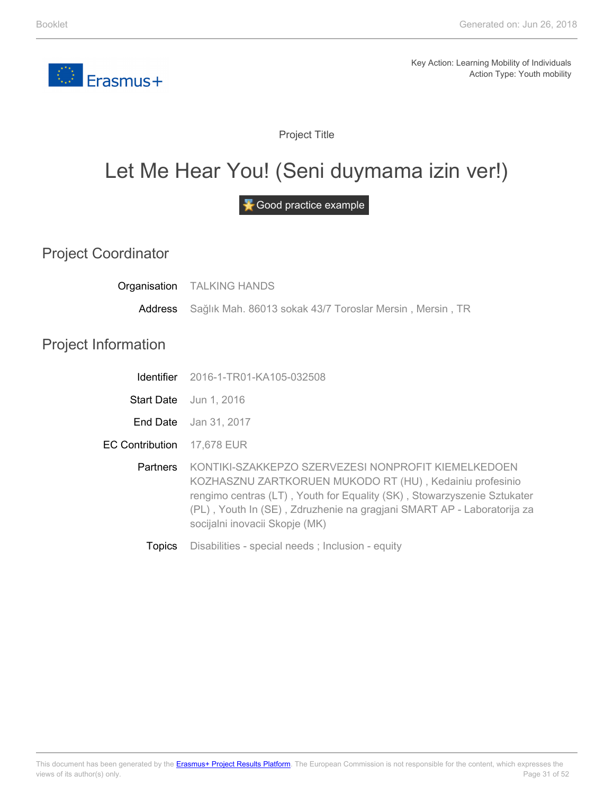<span id="page-30-0"></span>

Project Title

### Let Me Hear You! (Seni duymama izin ver!)

Good practice example

Project Coordinator

**Organisation** TALKING HANDS

> Address Sağlık Mah. 86013 sokak 43/7 Toroslar Mersin , Mersin , TR

#### Project Information

|                                   | <b>Identifier</b> 2016-1-TR01-KA105-032508                                                                                                                                                                                                                                                             |
|-----------------------------------|--------------------------------------------------------------------------------------------------------------------------------------------------------------------------------------------------------------------------------------------------------------------------------------------------------|
|                                   | <b>Start Date</b> Jun 1, 2016                                                                                                                                                                                                                                                                          |
|                                   | <b>End Date</b> Jan 31, 2017                                                                                                                                                                                                                                                                           |
| <b>EC Contribution</b> 17,678 EUR |                                                                                                                                                                                                                                                                                                        |
| <b>Partners</b>                   | KONTIKI-SZAKKEPZO SZERVEZESI NONPROFIT KIEMELKEDOEN<br>KOZHASZNU ZARTKORUEN MUKODO RT (HU), Kedainiu profesinio<br>rengimo centras (LT), Youth for Equality (SK), Stowarzyszenie Sztukater<br>(PL), Youth In (SE), Zdruzhenie na gragiani SMART AP - Laboratorija za<br>socijalni inovacii Skopje (MK) |
|                                   |                                                                                                                                                                                                                                                                                                        |

**Topics** Disabilities - special needs ; Inclusion - equity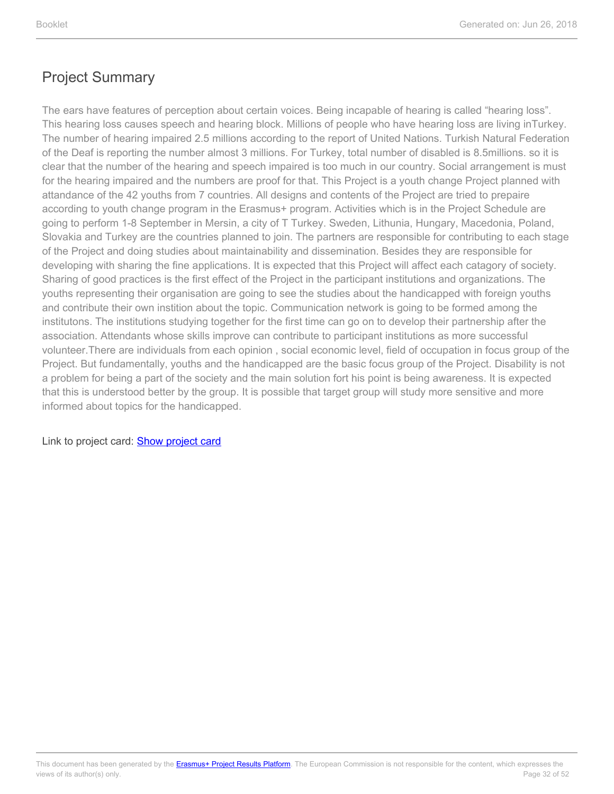The ears have features of perception about certain voices. Being incapable of hearing is called "hearing loss". This hearing loss causes speech and hearing block. Millions of people who have hearing loss are living inTurkey. The number of hearing impaired 2.5 millions according to the report of United Nations. Turkish Natural Federation of the Deaf is reporting the number almost 3 millions. For Turkey, total number of disabled is 8.5millions. so it is clear that the number of the hearing and speech impaired is too much in our country. Social arrangement is must for the hearing impaired and the numbers are proof for that. This Project is a youth change Project planned with attandance of the 42 youths from 7 countries. All designs and contents of the Project are tried to prepaire according to youth change program in the Erasmus+ program. Activities which is in the Project Schedule are going to perform 1-8 September in Mersin, a city of T Turkey. Sweden, Lithunia, Hungary, Macedonia, Poland, Slovakia and Turkey are the countries planned to join. The partners are responsible for contributing to each stage of the Project and doing studies about maintainability and dissemination. Besides they are responsible for developing with sharing the fine applications. It is expected that this Project will affect each catagory of society. Sharing of good practices is the first effect of the Project in the participant institutions and organizations. The youths representing their organisation are going to see the studies about the handicapped with foreign youths and contribute their own instition about the topic. Communication network is going to be formed among the institutons. The institutions studying together for the first time can go on to develop their partnership after the association. Attendants whose skills improve can contribute to participant institutions as more successful volunteer.There are individuals from each opinion , social economic level, field of occupation in focus group of the Project. But fundamentally, youths and the handicapped are the basic focus group of the Project. Disability is not a problem for being a part of the society and the main solution fort his point is being awareness. It is expected that this is understood better by the group. It is possible that target group will study more sensitive and more informed about topics for the handicapped.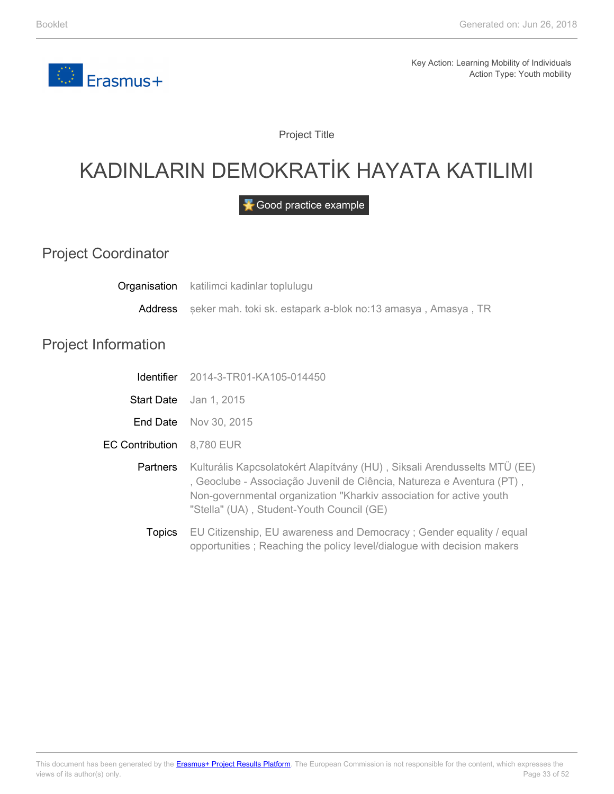<span id="page-32-0"></span>

Project Title

# KADINLARIN DEMOKRATİK HAYATA KATILIMI

Good practice example

Project Coordinator

Address **Organisation** katilimci kadinlar toplulugu şeker mah. toki sk. estapark a-blok no:13 amasya , Amasya , TR

#### Project Information

|                        | <b>Identifier</b> 2014-3-TR01-KA105-014450                                                                                                                                                                                                                            |
|------------------------|-----------------------------------------------------------------------------------------------------------------------------------------------------------------------------------------------------------------------------------------------------------------------|
|                        | <b>Start Date</b> Jan 1, 2015                                                                                                                                                                                                                                         |
|                        | <b>End Date</b> Nov 30, 2015                                                                                                                                                                                                                                          |
| <b>EC Contribution</b> | 8,780 EUR                                                                                                                                                                                                                                                             |
| <b>Partners</b>        | Kulturális Kapcsolatokért Alapítvány (HU), Siksali Arendusselts MTÜ (EE)<br>, Geoclube - Associação Juvenil de Ciência, Natureza e Aventura (PT),<br>Non-governmental organization "Kharkiv association for active youth<br>"Stella" (UA), Student-Youth Council (GE) |
| <b>Topics</b>          | EU Citizenship, EU awareness and Democracy; Gender equality / equal<br>opportunities; Reaching the policy level/dialogue with decision makers                                                                                                                         |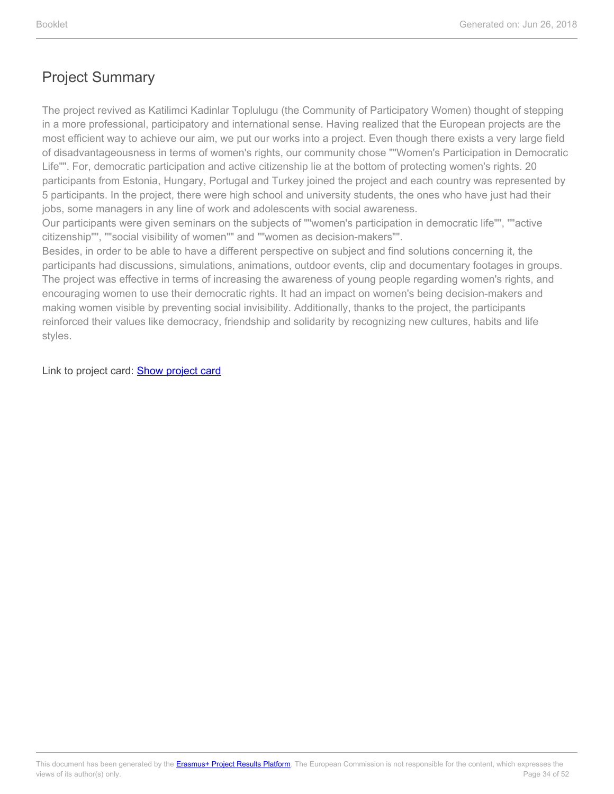The project revived as Katilimci Kadinlar Toplulugu (the Community of Participatory Women) thought of stepping in a more professional, participatory and international sense. Having realized that the European projects are the most efficient way to achieve our aim, we put our works into a project. Even though there exists a very large field of disadvantageousness in terms of women's rights, our community chose ""Women's Participation in Democratic Life"". For, democratic participation and active citizenship lie at the bottom of protecting women's rights. 20 participants from Estonia, Hungary, Portugal and Turkey joined the project and each country was represented by 5 participants. In the project, there were high school and university students, the ones who have just had their jobs, some managers in any line of work and adolescents with social awareness.

Our participants were given seminars on the subjects of ""women's participation in democratic life"", ""active citizenship"", ""social visibility of women"" and ""women as decision-makers"".

Besides, in order to be able to have a different perspective on subject and find solutions concerning it, the participants had discussions, simulations, animations, outdoor events, clip and documentary footages in groups. The project was effective in terms of increasing the awareness of young people regarding women's rights, and encouraging women to use their democratic rights. It had an impact on women's being decision-makers and making women visible by preventing social invisibility. Additionally, thanks to the project, the participants reinforced their values like democracy, friendship and solidarity by recognizing new cultures, habits and life styles.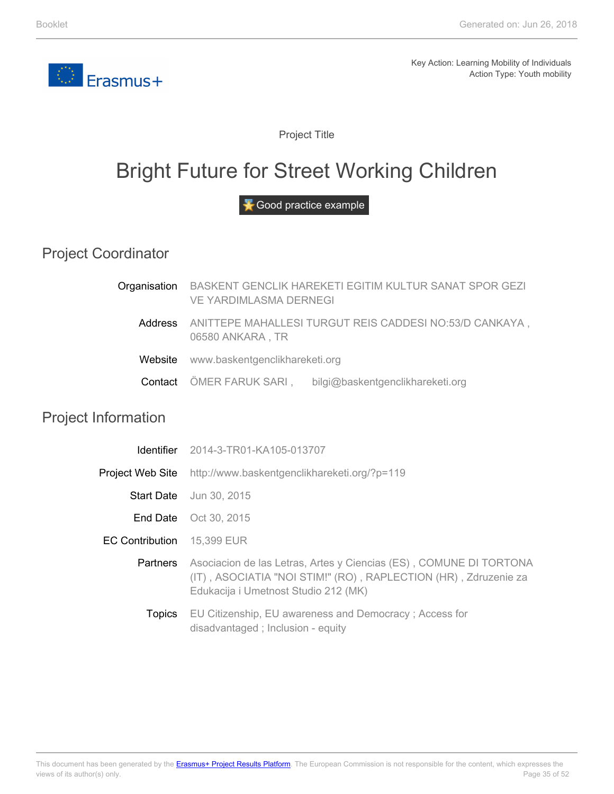<span id="page-34-0"></span>

Project Title

### Bright Future for Street Working Children

Good practice example

Project Coordinator

|                            | Organisation BASKENT GENCLIK HAREKETI EGITIM KULTUR SANAT SPOR GEZI<br>VE YARDIMLASMA DERNEGI |  |
|----------------------------|-----------------------------------------------------------------------------------------------|--|
| Address                    | ANITTEPE MAHALLESI TURGUT REIS CADDESI NO:53/D CANKAYA,<br>06580 ANKARA, TR                   |  |
| Website                    | www.baskentgenclikhareketi.org                                                                |  |
| Contact                    | ÖMER FARUK SARI,<br>bilgi@baskentgenclikhareketi.org                                          |  |
| <b>Project Information</b> |                                                                                               |  |
| Identifier                 | 2014-3-TR01-KA105-013707                                                                      |  |

Project Web Site http://www.baskentgenclikhareketi.org/?p=119

Start Date Jun 30, 2015

End Date Oct 30, 2015

EC Contribution 15,399 EUR

- Partners Asociacion de las Letras, Artes y Ciencias (ES) , COMUNE DI TORTONA (IT) , ASOCIATIA "NOI STIM!" (RO) , RAPLECTION (HR) , Zdruzenie za Edukacija i Umetnost Studio 212 (MK)
	- **Topics** EU Citizenship, EU awareness and Democracy ; Access for disadvantaged ; Inclusion - equity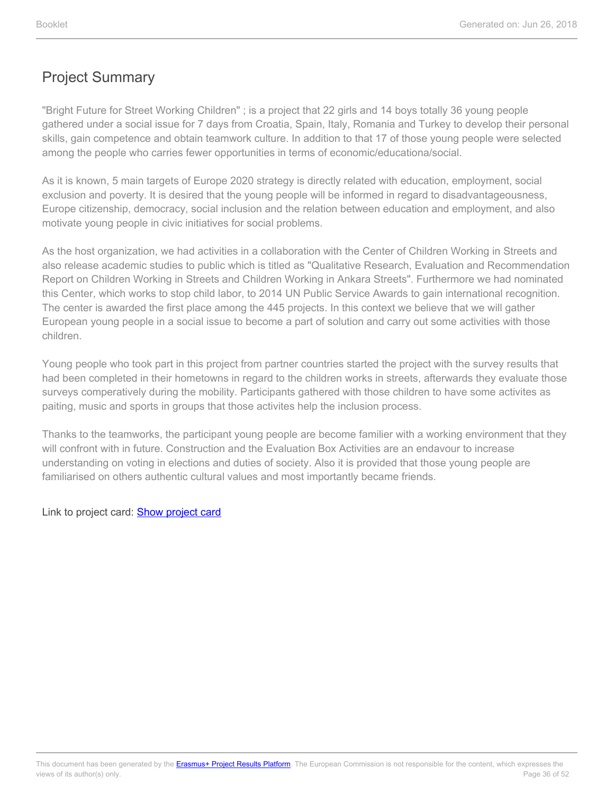"Bright Future for Street Working Children" ; is a project that 22 girls and 14 boys totally 36 young people gathered under a social issue for 7 days from Croatia, Spain, Italy, Romania and Turkey to develop their personal skills, gain competence and obtain teamwork culture. In addition to that 17 of those young people were selected among the people who carries fewer opportunities in terms of economic/educationa/social.

As it is known, 5 main targets of Europe 2020 strategy is directly related with education, employment, social exclusion and poverty. It is desired that the young people will be informed in regard to disadvantageousness, Europe citizenship, democracy, social inclusion and the relation between education and employment, and also motivate young people in civic initiatives for social problems.

As the host organization, we had activities in a collaboration with the Center of Children Working in Streets and also release academic studies to public which is titled as "Qualitative Research, Evaluation and Recommendation Report on Children Working in Streets and Children Working in Ankara Streets". Furthermore we had nominated this Center, which works to stop child labor, to 2014 UN Public Service Awards to gain international recognition. The center is awarded the first place among the 445 projects. In this context we believe that we will gather European young people in a social issue to become a part of solution and carry out some activities with those children.

Young people who took part in this project from partner countries started the project with the survey results that had been completed in their hometowns in regard to the children works in streets, afterwards they evaluate those surveys comperatively during the mobility. Participants gathered with those children to have some activites as paiting, music and sports in groups that those activites help the inclusion process.

Thanks to the teamworks, the participant young people are become familier with a working environment that they will confront with in future. Construction and the Evaluation Box Activities are an endavour to increase understanding on voting in elections and duties of society. Also it is provided that those young people are familiarised on others authentic cultural values and most importantly became friends.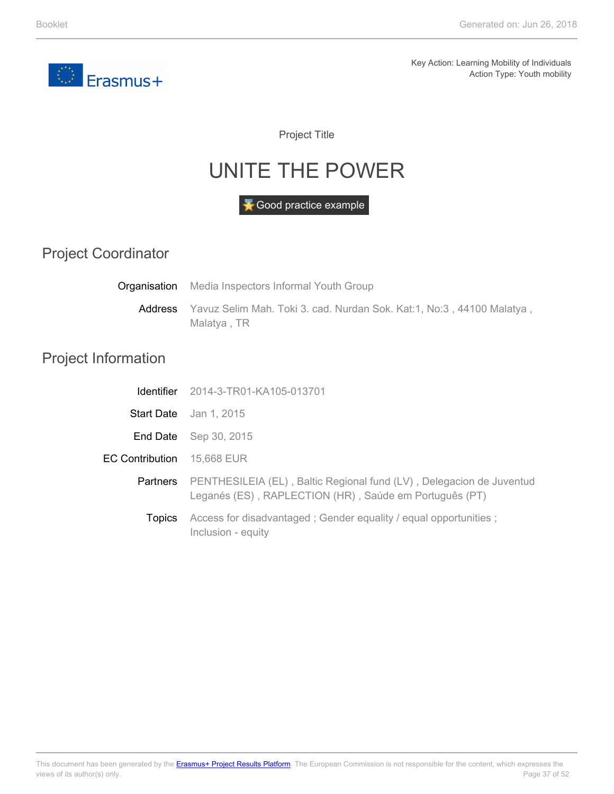<span id="page-36-0"></span>

Project Title

### UNITE THE POWER

Good practice example

Project Coordinator

Address **Organisation** Media Inspectors Informal Youth Group Yavuz Selim Mah. Toki 3. cad. Nurdan Sok. Kat:1, No:3 , 44100 Malatya , Malatya , TR

#### Project Information

|                                   | <b>Identifier</b> 2014-3-TR01-KA105-013701                                                                                     |
|-----------------------------------|--------------------------------------------------------------------------------------------------------------------------------|
|                                   | <b>Start Date</b> Jan 1, 2015                                                                                                  |
|                                   | <b>End Date</b> Sep 30, 2015                                                                                                   |
| <b>EC Contribution</b> 15,668 EUR |                                                                                                                                |
| <b>Partners</b>                   | PENTHESILEIA (EL), Baltic Regional fund (LV), Delegacion de Juventud<br>Leganés (ES), RAPLECTION (HR), Saúde em Português (PT) |
| <b>Topics</b>                     | Access for disadvantaged; Gender equality / equal opportunities;<br>Inclusion - equity                                         |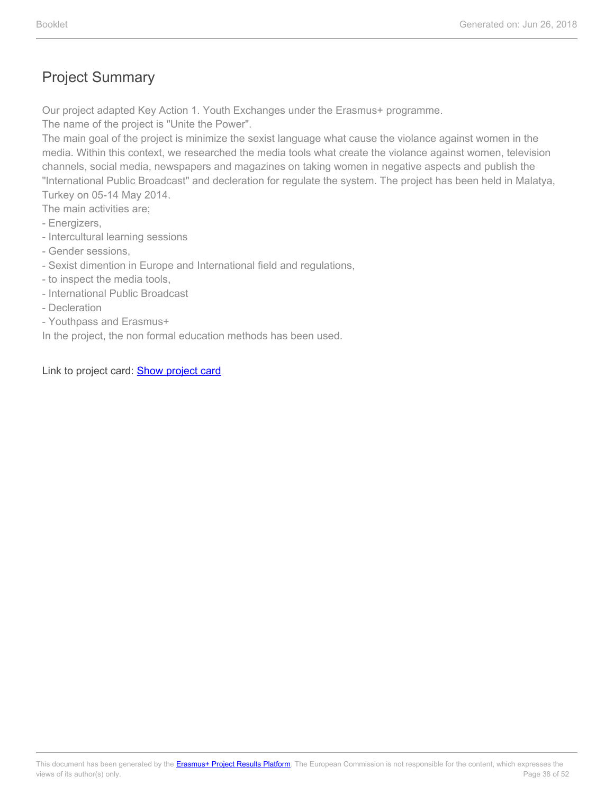Our project adapted Key Action 1. Youth Exchanges under the Erasmus+ programme.

The name of the project is "Unite the Power".

The main goal of the project is minimize the sexist language what cause the violance against women in the media. Within this context, we researched the media tools what create the violance against women, television channels, social media, newspapers and magazines on taking women in negative aspects and publish the "International Public Broadcast" and decleration for regulate the system. The project has been held in Malatya, Turkey on 05-14 May 2014.

The main activities are;

- Energizers,
- Intercultural learning sessions
- Gender sessions,
- Sexist dimention in Europe and International field and regulations,
- to inspect the media tools,
- International Public Broadcast
- Decleration
- Youthpass and Erasmus+

In the project, the non formal education methods has been used.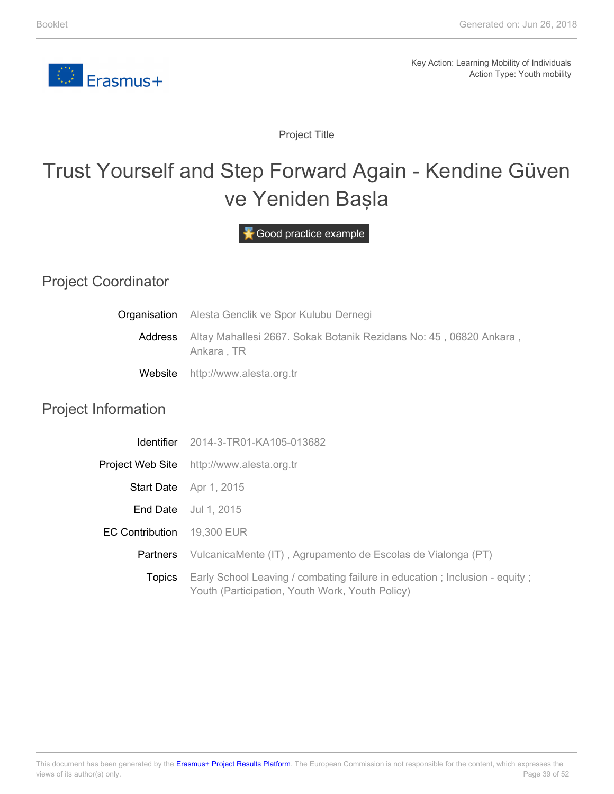

Project Title

# <span id="page-38-0"></span>Trust Yourself and Step Forward Again - Kendine Güven ve Yeniden Başla

Good practice example

### Project Coordinator

Project In

| Organisation           | Alesta Genclik ve Spor Kulubu Dernegi                                                                                           |  |
|------------------------|---------------------------------------------------------------------------------------------------------------------------------|--|
| Address                | Altay Mahallesi 2667. Sokak Botanik Rezidans No: 45, 06820 Ankara,<br>Ankara, TR                                                |  |
| Website                | http://www.alesta.org.tr                                                                                                        |  |
| nformation             |                                                                                                                                 |  |
| <b>Identifier</b>      | 2014-3-TR01-KA105-013682                                                                                                        |  |
| Project Web Site       | http://www.alesta.org.tr                                                                                                        |  |
| <b>Start Date</b>      | Apr 1, 2015                                                                                                                     |  |
| End Date               | Jul 1, 2015                                                                                                                     |  |
| <b>EC Contribution</b> | 19,300 EUR                                                                                                                      |  |
| <b>Partners</b>        | VulcanicaMente (IT), Agrupamento de Escolas de Vialonga (PT)                                                                    |  |
| <b>Topics</b>          | Early School Leaving / combating failure in education ; Inclusion - equity ;<br>Youth (Participation, Youth Work, Youth Policy) |  |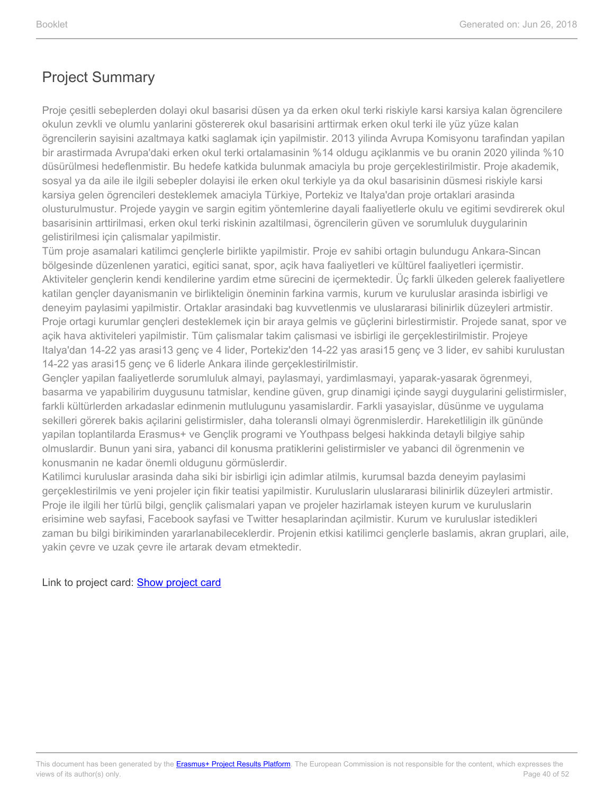Proje çesitli sebeplerden dolayi okul basarisi düsen ya da erken okul terki riskiyle karsi karsiya kalan ögrencilere okulun zevkli ve olumlu yanlarini göstererek okul basarisini arttirmak erken okul terki ile yüz yüze kalan ögrencilerin sayisini azaltmaya katki saglamak için yapilmistir. 2013 yilinda Avrupa Komisyonu tarafindan yapilan bir arastirmada Avrupa'daki erken okul terki ortalamasinin %14 oldugu açiklanmis ve bu oranin 2020 yilinda %10 düsürülmesi hedeflenmistir. Bu hedefe katkida bulunmak amaciyla bu proje gerçeklestirilmistir. Proje akademik, sosyal ya da aile ile ilgili sebepler dolayisi ile erken okul terkiyle ya da okul basarisinin düsmesi riskiyle karsi karsiya gelen ögrencileri desteklemek amaciyla Türkiye, Portekiz ve Italya'dan proje ortaklari arasinda olusturulmustur. Projede yaygin ve sargin egitim yöntemlerine dayali faaliyetlerle okulu ve egitimi sevdirerek okul basarisinin arttirilmasi, erken okul terki riskinin azaltilmasi, ögrencilerin güven ve sorumluluk duygularinin gelistirilmesi için çalismalar yapilmistir.

Tüm proje asamalari katilimci gençlerle birlikte yapilmistir. Proje ev sahibi ortagin bulundugu Ankara-Sincan bölgesinde düzenlenen yaratici, egitici sanat, spor, açik hava faaliyetleri ve kültürel faaliyetleri içermistir. Aktiviteler gençlerin kendi kendilerine yardim etme sürecini de içermektedir. Üç farkli ülkeden gelerek faaliyetlere katilan gençler dayanismanin ve birlikteligin öneminin farkina varmis, kurum ve kuruluslar arasinda isbirligi ve deneyim paylasimi yapilmistir. Ortaklar arasindaki bag kuvvetlenmis ve uluslararasi bilinirlik düzeyleri artmistir. Proje ortagi kurumlar gençleri desteklemek için bir araya gelmis ve güçlerini birlestirmistir. Projede sanat, spor ve açik hava aktiviteleri yapilmistir. Tüm çalismalar takim çalismasi ve isbirligi ile gerçeklestirilmistir. Projeye Italya'dan 14-22 yas arasi13 genç ve 4 lider, Portekiz'den 14-22 yas arasi15 genç ve 3 lider, ev sahibi kurulustan 14-22 yas arasi15 genç ve 6 liderle Ankara ilinde gerçeklestirilmistir.

Gençler yapilan faaliyetlerde sorumluluk almayi, paylasmayi, yardimlasmayi, yaparak-yasarak ögrenmeyi, basarma ve yapabilirim duygusunu tatmislar, kendine güven, grup dinamigi içinde saygi duygularini gelistirmisler, farkli kültürlerden arkadaslar edinmenin mutlulugunu yasamislardir. Farkli yasayislar, düsünme ve uygulama sekilleri görerek bakis açilarini gelistirmisler, daha toleransli olmayi ögrenmislerdir. Hareketliligin ilk gününde yapilan toplantilarda Erasmus+ ve Gençlik programi ve Youthpass belgesi hakkinda detayli bilgiye sahip olmuslardir. Bunun yani sira, yabanci dil konusma pratiklerini gelistirmisler ve yabanci dil ögrenmenin ve konusmanin ne kadar önemli oldugunu görmüslerdir.

Katilimci kuruluslar arasinda daha siki bir isbirligi için adimlar atilmis, kurumsal bazda deneyim paylasimi gerçeklestirilmis ve yeni projeler için fikir teatisi yapilmistir. Kuruluslarin uluslararasi bilinirlik düzeyleri artmistir. Proje ile ilgili her türlü bilgi, gençlik çalismalari yapan ve projeler hazirlamak isteyen kurum ve kuruluslarin erisimine web sayfasi, Facebook sayfasi ve Twitter hesaplarindan açilmistir. Kurum ve kuruluslar istedikleri zaman bu bilgi birikiminden yararlanabileceklerdir. Projenin etkisi katilimci gençlerle baslamis, akran gruplari, aile, yakin çevre ve uzak çevre ile artarak devam etmektedir.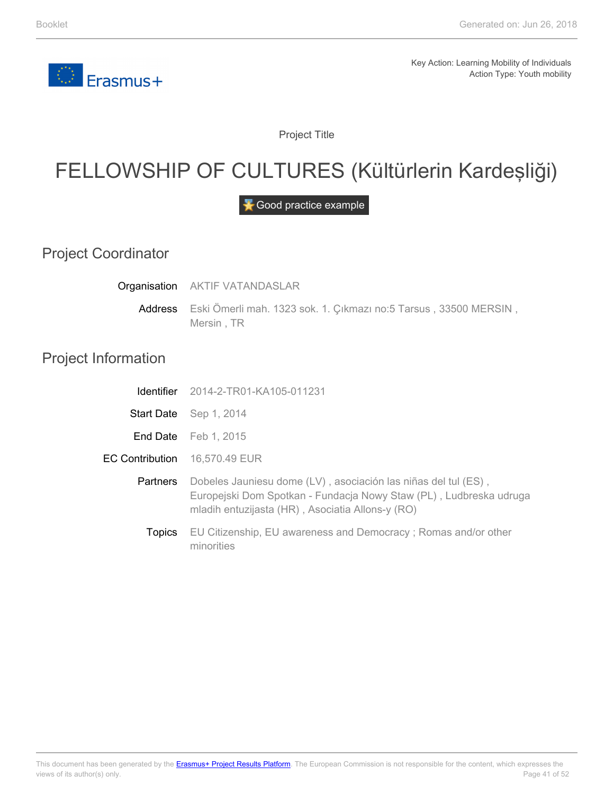

Project Title

### <span id="page-40-0"></span>FELLOWSHIP OF CULTURES (Kültürlerin Kardeşliği)

Good practice example

Project Coordinator

**Organisation** AKTIF VATANDASLAR

> Address Eski Ömerli mah. 1323 sok. 1. Çıkmazı no:5 Tarsus , 33500 MERSIN , Mersin , TR

#### Project Information

E<sub>C</sub>

|                   | <b>Identifier</b> 2014-2-TR01-KA105-011231                                                                                                                                               |
|-------------------|------------------------------------------------------------------------------------------------------------------------------------------------------------------------------------------|
| <b>Start Date</b> | Sep 1, 2014                                                                                                                                                                              |
|                   | <b>End Date</b> Feb 1, 2015                                                                                                                                                              |
|                   | <b>Contribution</b> 16,570.49 EUR                                                                                                                                                        |
| <b>Partners</b>   | Dobeles Jauniesu dome (LV), asociación las niñas del tul (ES),<br>Europejski Dom Spotkan - Fundacja Nowy Staw (PL), Ludbreska udruga<br>mladih entuzijasta (HR), Asociatia Allons-y (RO) |
| <b>Topics</b>     | EU Citizenship, EU awareness and Democracy; Romas and/or other<br>minorities                                                                                                             |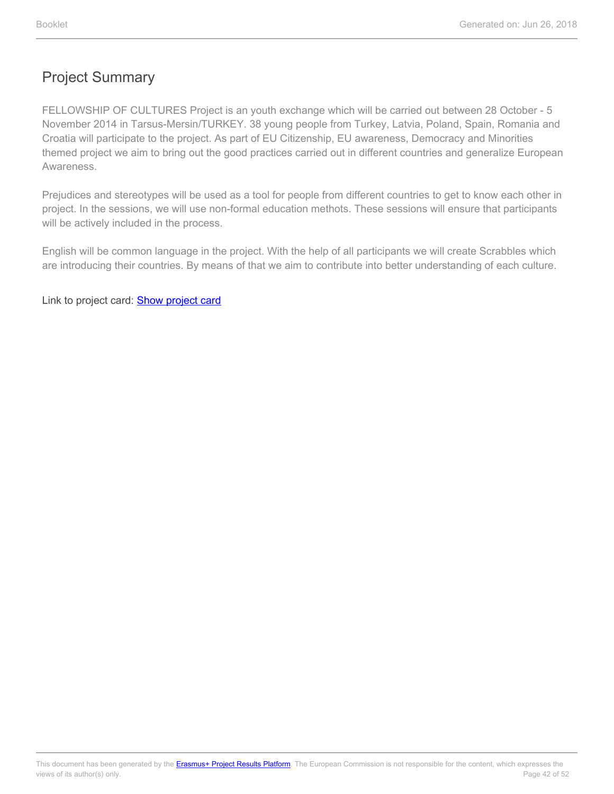FELLOWSHIP OF CULTURES Project is an youth exchange which will be carried out between 28 October - 5 November 2014 in Tarsus-Mersin/TURKEY. 38 young people from Turkey, Latvia, Poland, Spain, Romania and Croatia will participate to the project. As part of EU Citizenship, EU awareness, Democracy and Minorities themed project we aim to bring out the good practices carried out in different countries and generalize European Awareness.

Prejudices and stereotypes will be used as a tool for people from different countries to get to know each other in project. In the sessions, we will use non-formal education methots. These sessions will ensure that participants will be actively included in the process.

English will be common language in the project. With the help of all participants we will create Scrabbles which are introducing their countries. By means of that we aim to contribute into better understanding of each culture.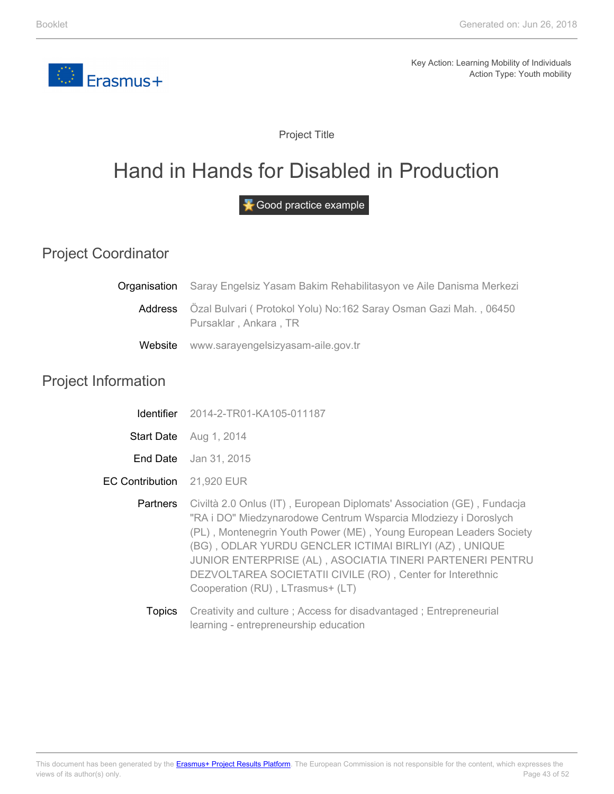<span id="page-42-0"></span>

Project Title

### Hand in Hands for Disabled in Production

Good practice example

#### Project Coordinator

|         | <b>Organisation</b> Saray Engelsiz Yasam Bakim Rehabilitasyon ve Aile Danisma Merkezi              |  |
|---------|----------------------------------------------------------------------------------------------------|--|
|         | Address Özal Bulvari ( Protokol Yolu) No:162 Saray Osman Gazi Mah., 06450<br>Pursaklar, Ankara, TR |  |
| Website | www.sarayengelsizyasam-aile.gov.tr                                                                 |  |

#### Project Information

| <b>Identifier</b> | 2014-2-TR01-KA105-011187 |
|-------------------|--------------------------|
|-------------------|--------------------------|

- **Start Date** Aug 1, 2014
- **End Date** Jan 31, 2015
- EC Contribution 21,920 EUR
	- **Partners** Civiltà 2.0 Onlus (IT) , European Diplomats' Association (GE) , Fundacja "RA i DO" Miedzynarodowe Centrum Wsparcia Mlodziezy i Doroslych (PL) , Montenegrin Youth Power (ME) , Young European Leaders Society (BG) , ODLAR YURDU GENCLER ICTIMAI BIRLIYI (AZ) , UNIQUE JUNIOR ENTERPRISE (AL) , ASOCIATIA TINERI PARTENERI PENTRU DEZVOLTAREA SOCIETATII CIVILE (RO) , Center for Interethnic Cooperation (RU) , LTrasmus+ (LT)
		- **Topics** Creativity and culture ; Access for disadvantaged ; Entrepreneurial learning - entrepreneurship education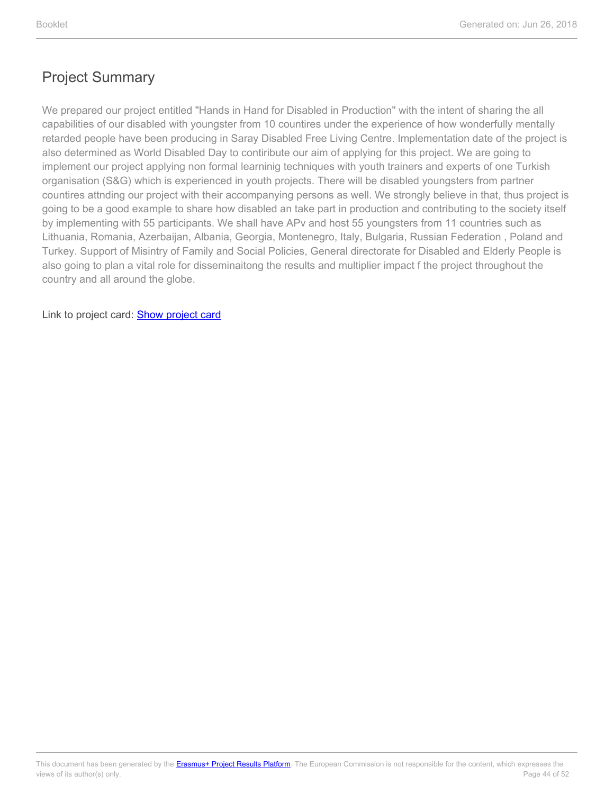We prepared our project entitled "Hands in Hand for Disabled in Production" with the intent of sharing the all capabilities of our disabled with youngster from 10 countires under the experience of how wonderfully mentally retarded people have been producing in Saray Disabled Free Living Centre. Implementation date of the project is also determined as World Disabled Day to contiribute our aim of applying for this project. We are going to implement our project applying non formal learninig techniques with youth trainers and experts of one Turkish organisation (S&G) which is experienced in youth projects. There will be disabled youngsters from partner countires attnding our project with their accompanying persons as well. We strongly believe in that, thus project is going to be a good example to share how disabled an take part in production and contributing to the society itself by implementing with 55 participants. We shall have APv and host 55 youngsters from 11 countries such as Lithuania, Romania, Azerbaijan, Albania, Georgia, Montenegro, Italy, Bulgaria, Russian Federation , Poland and Turkey. Support of Misintry of Family and Social Policies, General directorate for Disabled and Elderly People is also going to plan a vital role for disseminaitong the results and multiplier impact f the project throughout the country and all around the globe.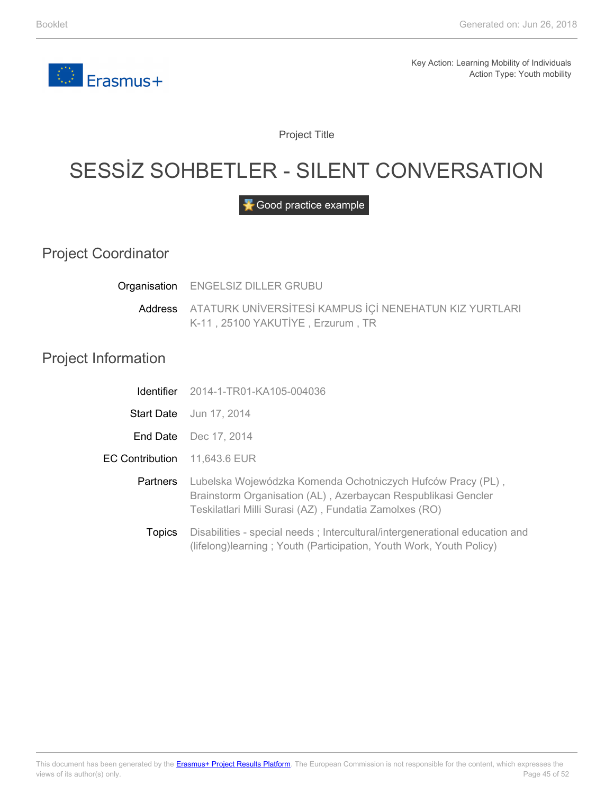

Project Title

# <span id="page-44-0"></span>SESSİZ SOHBETLER - SILENT CONVERSATION

Good practice example

Project Coordinator

**Organisation** ENGELSIZ DILLER GRUBU

Address ATATURK UNİVERSİTESİ KAMPUS İÇİ NENEHATUN KIZ YURTLARI K-11 , 25100 YAKUTİYE , Erzurum , TR

#### Project Information

|                              | <b>Identifier</b> 2014-1-TR01-KA105-004036                                                                                                                                             |
|------------------------------|----------------------------------------------------------------------------------------------------------------------------------------------------------------------------------------|
|                              | <b>Start Date</b> Jun 17, 2014                                                                                                                                                         |
|                              | <b>End Date</b> Dec 17, 2014                                                                                                                                                           |
| EC Contribution 11,643.6 EUR |                                                                                                                                                                                        |
| Partners                     | Lubelska Wojewódzka Komenda Ochotniczych Hufców Pracy (PL),<br>Brainstorm Organisation (AL), Azerbaycan Respublikasi Gencler<br>Teskilatlari Milli Surasi (AZ), Fundatia Zamolxes (RO) |
| <b>Topics</b>                | Disabilities - special needs; Intercultural/intergenerational education and<br>(lifelong)learning; Youth (Participation, Youth Work, Youth Policy)                                     |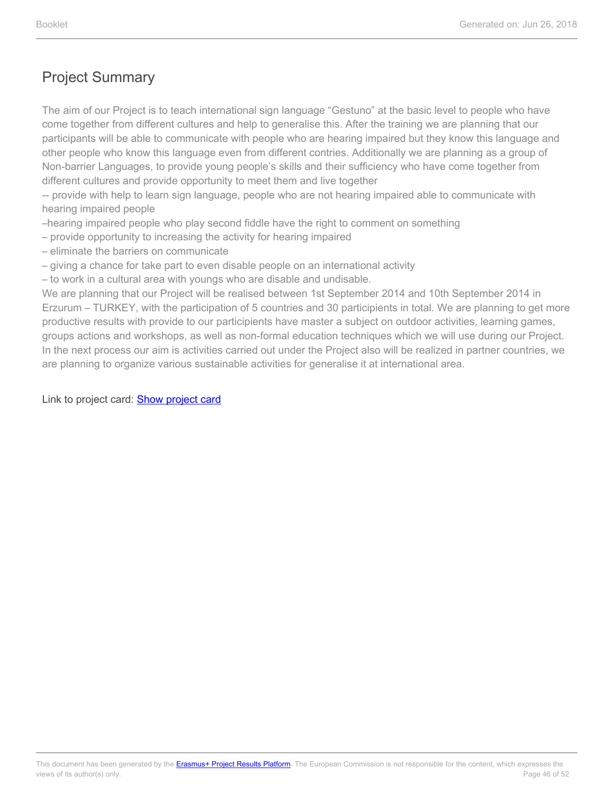The aim of our Project is to teach international sign language "Gestuno" at the basic level to people who have come together from different cultures and help to generalise this. After the training we are planning that our participants will be able to communicate with people who are hearing impaired but they know this language and other people who know this language even from different contries. Additionally we are planning as a group of Non-barrier Languages, to provide young people's skills and their sufficiency who have come together from different cultures and provide opportunity to meet them and live together

-- provide with help to learn sign language, people who are not hearing impaired able to communicate with hearing impaired people

–hearing impaired people who play second fiddle have the right to comment on something

– provide opportunity to increasing the activity for hearing impaired

– eliminate the barriers on communicate

– giving a chance for take part to even disable people on an international activity

– to work in a cultural area with youngs who are disable and undisable.

We are planning that our Project will be realised between 1st September 2014 and 10th September 2014 in Erzurum – TURKEY, with the participation of 5 countries and 30 participients in total. We are planning to get more productive results with provide to our participients have master a subject on outdoor activities, learning games, groups actions and workshops, as well as non-formal education techniques which we will use during our Project. In the next process our aim is activities carried out under the Project also will be realized in partner countries, we are planning to organize various sustainable activities for generalise it at international area.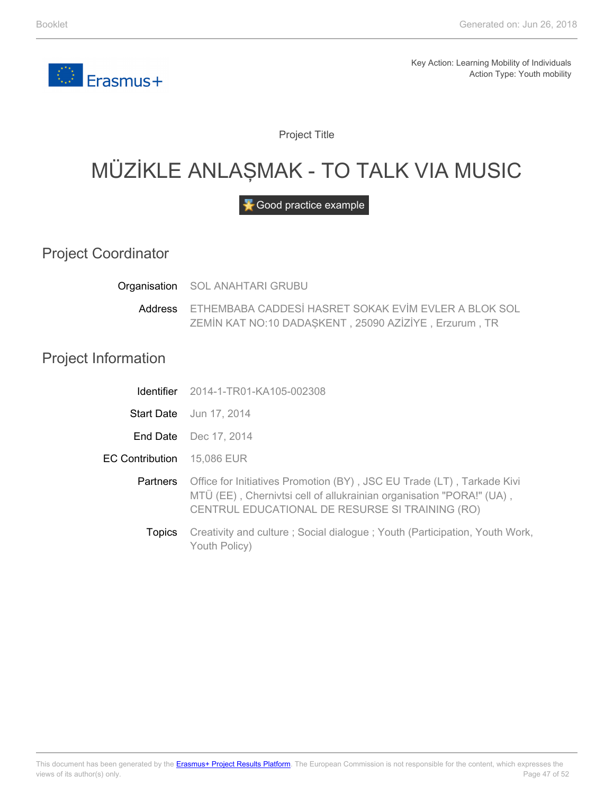<span id="page-46-0"></span>

Project Title

# MÜZİKLE ANLAŞMAK - TO TALK VIA MUSIC

Good practice example

Project Coordinator

**Organisation** SOL ANAHTARI GRUBU

> Address ETHEMBABA CADDESİ HASRET SOKAK EVİM EVLER A BLOK SOL ZEMİN KAT NO:10 DADAŞKENT , 25090 AZİZİYE , Erzurum , TR

#### Project Information

E<sub>C</sub>

|               | <b>Identifier</b> 2014-1-TR01-KA105-002308                                                                                                                                                        |
|---------------|---------------------------------------------------------------------------------------------------------------------------------------------------------------------------------------------------|
|               | <b>Start Date</b> Jun 17, 2014                                                                                                                                                                    |
|               | <b>End Date</b> Dec 17, 2014                                                                                                                                                                      |
|               | <b>Contribution</b> 15,086 EUR                                                                                                                                                                    |
| Partners      | Office for Initiatives Promotion (BY), JSC EU Trade (LT), Tarkade Kivi<br>MTÜ (EE), Chernivtsi cell of allukrainian organisation "PORA!" (UA),<br>CENTRUL EDUCATIONAL DE RESURSE SI TRAINING (RO) |
| <b>Topics</b> | Creativity and culture; Social dialogue; Youth (Participation, Youth Work,<br>Youth Policy)                                                                                                       |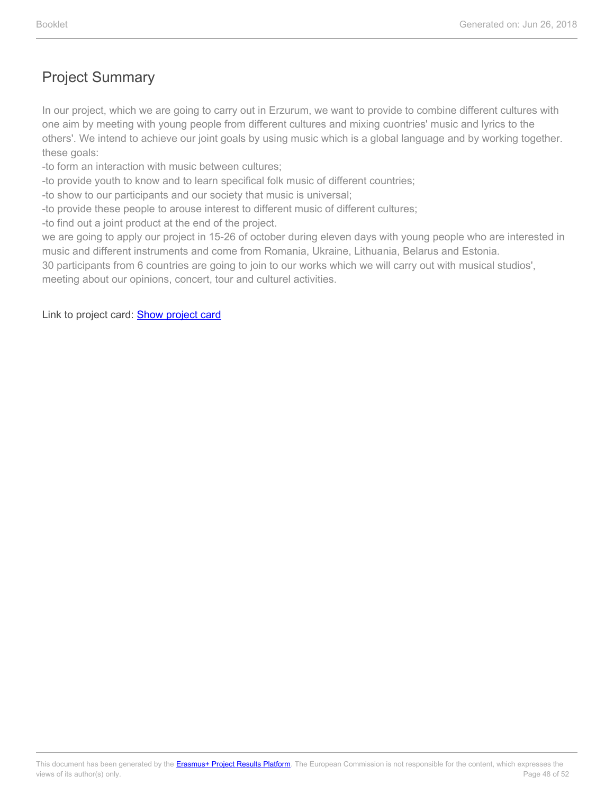In our project, which we are going to carry out in Erzurum, we want to provide to combine different cultures with one aim by meeting with young people from different cultures and mixing cuontries' music and lyrics to the others'. We intend to achieve our joint goals by using music which is a global language and by working together. these goals:

- -to form an interaction with music between cultures;
- -to provide youth to know and to learn specifical folk music of different countries;
- -to show to our participants and our society that music is universal;
- -to provide these people to arouse interest to different music of different cultures;
- -to find out a joint product at the end of the project.

we are going to apply our project in 15-26 of october during eleven days with young people who are interested in music and different instruments and come from Romania, Ukraine, Lithuania, Belarus and Estonia.

30 participants from 6 countries are going to join to our works which we will carry out with musical studios',

meeting about our opinions, concert, tour and culturel activities.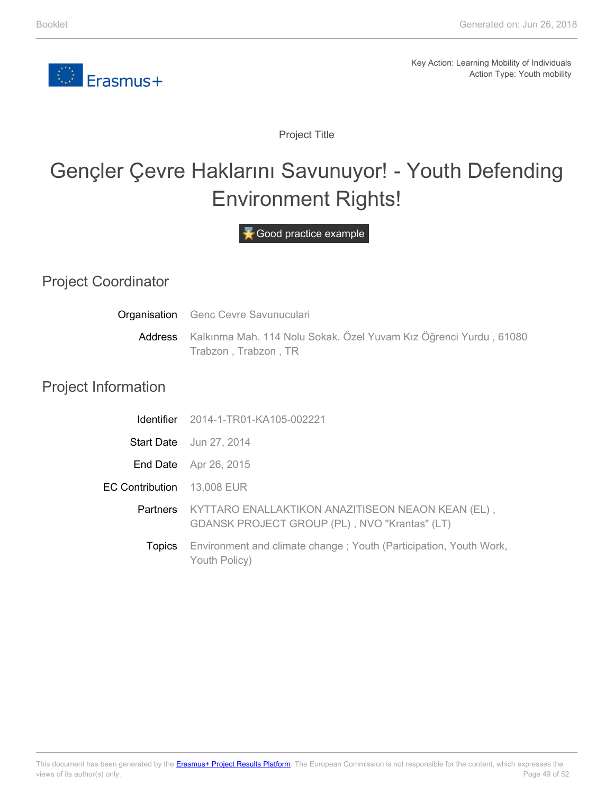

Project Title

# <span id="page-48-0"></span>Gençler Çevre Haklarını Savunuyor! - Youth Defending Environment Rights!

Good practice example

#### Project Coordinator

| Organisation               | Genc Cevre Savunuculari                                                                            |
|----------------------------|----------------------------------------------------------------------------------------------------|
|                            | Address Kalkınma Mah. 114 Nolu Sokak. Özel Yuvam Kız Öğrenci Yurdu, 61080<br>Trabzon, Trabzon, TR  |
| <b>Project Information</b> |                                                                                                    |
|                            | <b>Identifier</b> 2014-1-TR01-KA105-002221                                                         |
|                            | <b>Start Date</b> Jun 27, 2014                                                                     |
| End Date                   | Apr 26, 2015                                                                                       |
| <b>EC Contribution</b>     | 13,008 EUR                                                                                         |
| <b>Partners</b>            | KYTTARO ENALLAKTIKON ANAZITISEON NEAON KEAN (EL),<br>GDANSK PROJECT GROUP (PL), NVO "Krantas" (LT) |
| Topics                     | Environment and climate change; Youth (Participation, Youth Work,<br>Youth Policy)                 |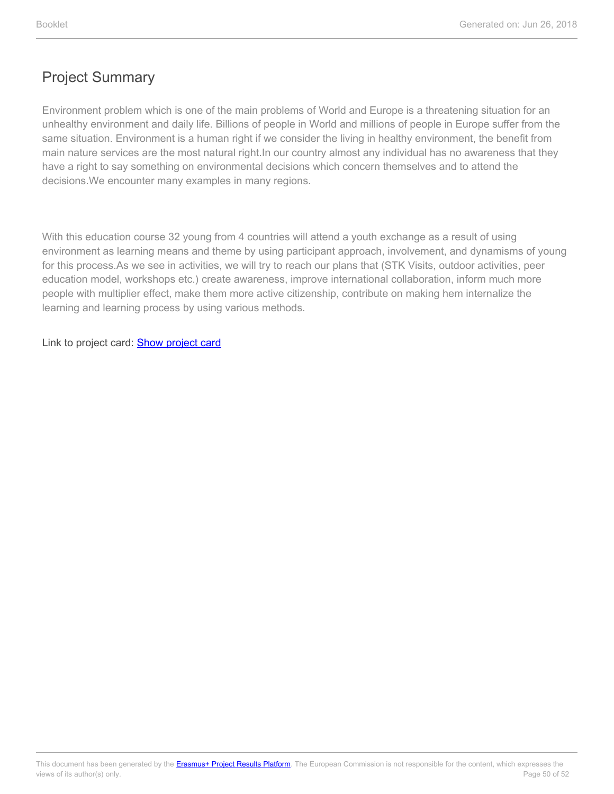Environment problem which is one of the main problems of World and Europe is a threatening situation for an unhealthy environment and daily life. Billions of people in World and millions of people in Europe suffer from the same situation. Environment is a human right if we consider the living in healthy environment, the benefit from main nature services are the most natural right.In our country almost any individual has no awareness that they have a right to say something on environmental decisions which concern themselves and to attend the decisions.We encounter many examples in many regions.

With this education course 32 young from 4 countries will attend a youth exchange as a result of using environment as learning means and theme by using participant approach, involvement, and dynamisms of young for this process.As we see in activities, we will try to reach our plans that (STK Visits, outdoor activities, peer education model, workshops etc.) create awareness, improve international collaboration, inform much more people with multiplier effect, make them more active citizenship, contribute on making hem internalize the learning and learning process by using various methods.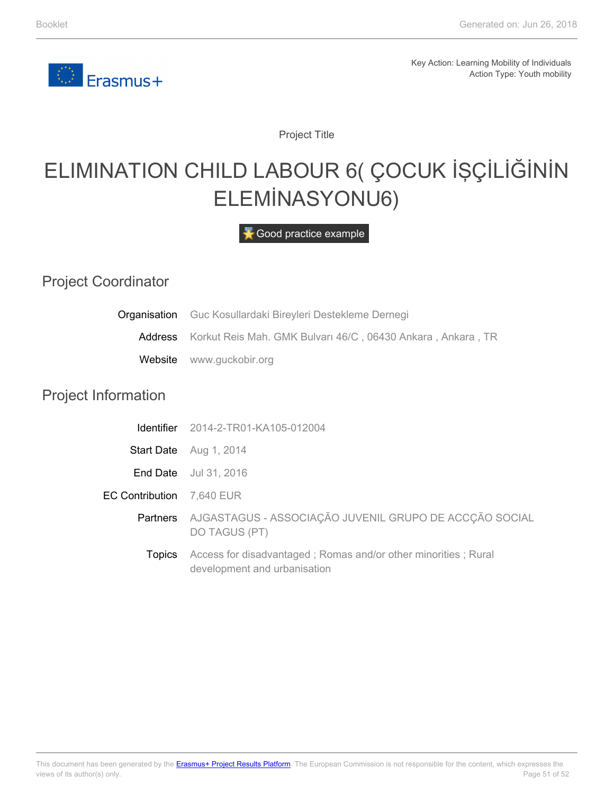

Project Title

# <span id="page-50-0"></span>ELIMINATION CHILD LABOUR 6( ÇOCUK İŞÇİLİĞİNİN ELEMİNASYONU6)

Good practice example

#### Project Coordinator

| Organisation               | Guc Kosullardaki Bireyleri Destekleme Dernegi                                                  |
|----------------------------|------------------------------------------------------------------------------------------------|
| Address                    | Korkut Reis Mah. GMK Bulvarı 46/C, 06430 Ankara, Ankara, TR                                    |
| Website                    | www.guckobir.org                                                                               |
| <b>Project Information</b> |                                                                                                |
| <b>Identifier</b>          | 2014-2-TR01-KA105-012004                                                                       |
|                            | Start Date Aug 1, 2014                                                                         |
| End Date                   | Jul 31, 2016                                                                                   |
| <b>EC Contribution</b>     | 7,640 EUR                                                                                      |
|                            | Partners AJGASTAGUS - ASSOCIAÇÃO JUVENIL GRUPO DE ACCÇÃO SOCIAL<br><b>DO TAGUS (PT)</b>        |
| Topics                     | Access for disadvantaged; Romas and/or other minorities; Rural<br>development and urbanisation |
|                            |                                                                                                |